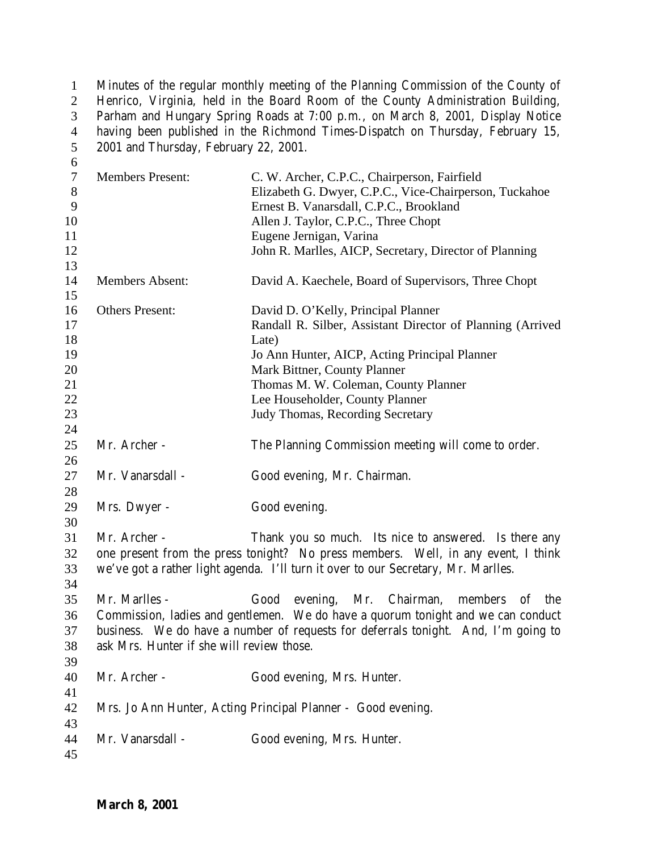Minutes of the regular monthly meeting of the Planning Commission of the County of Henrico, Virginia, held in the Board Room of the County Administration Building, Parham and Hungary Spring Roads at 7:00 p.m., on March 8, 2001, Display Notice 4 having been published in the Richmond Times-Dispatch on Thursday, February 15, 2001 and Thursday, February 22, 2001. 

| $\tau$<br>$8\,$<br>9<br>10<br>11<br>12             | <b>Members Present:</b>                                   | C. W. Archer, C.P.C., Chairperson, Fairfield<br>Elizabeth G. Dwyer, C.P.C., Vice-Chairperson, Tuckahoe<br>Ernest B. Vanarsdall, C.P.C., Brookland<br>Allen J. Taylor, C.P.C., Three Chopt<br>Eugene Jernigan, Varina<br>John R. Marlles, AICP, Secretary, Director of Planning                             |
|----------------------------------------------------|-----------------------------------------------------------|------------------------------------------------------------------------------------------------------------------------------------------------------------------------------------------------------------------------------------------------------------------------------------------------------------|
| 13<br>14<br>15                                     | Members Absent:                                           | David A. Kaechele, Board of Supervisors, Three Chopt                                                                                                                                                                                                                                                       |
| 16<br>17<br>18<br>19<br>20<br>21<br>22<br>23<br>24 | <b>Others Present:</b>                                    | David D. O'Kelly, Principal Planner<br>Randall R. Silber, Assistant Director of Planning (Arrived<br>Late)<br>Jo Ann Hunter, AICP, Acting Principal Planner<br>Mark Bittner, County Planner<br>Thomas M. W. Coleman, County Planner<br>Lee Householder, County Planner<br>Judy Thomas, Recording Secretary |
| 25<br>26                                           | Mr. Archer -                                              | The Planning Commission meeting will come to order.                                                                                                                                                                                                                                                        |
| 27<br>28                                           | Mr. Vanarsdall -                                          | Good evening, Mr. Chairman.                                                                                                                                                                                                                                                                                |
| 29<br>30                                           | Mrs. Dwyer -                                              | Good evening.                                                                                                                                                                                                                                                                                              |
| 31<br>32<br>33<br>34                               | Mr. Archer -                                              | Thank you so much. Its nice to answered. Is there any<br>one present from the press tonight? No press members. Well, in any event, I think<br>we've got a rather light agenda. I'll turn it over to our Secretary, Mr. Marlles.                                                                            |
| 35<br>36<br>37<br>38<br>39                         | Mr. Marlles -<br>ask Mrs. Hunter if she will review those | Good<br>evening, Mr. Chairman,<br>members of<br>the<br>Commission, ladies and gentlemen. We do have a quorum tonight and we can conduct<br>business. We do have a number of requests for deferrals tonight. And, I'm going to                                                                              |
| 40<br>41                                           | Mr. Archer -                                              | Good evening, Mrs. Hunter.                                                                                                                                                                                                                                                                                 |
| 42<br>43                                           |                                                           | Mrs. Jo Ann Hunter, Acting Principal Planner - Good evening.                                                                                                                                                                                                                                               |
| 44<br>45                                           | Mr. Vanarsdall -                                          | Good evening, Mrs. Hunter.                                                                                                                                                                                                                                                                                 |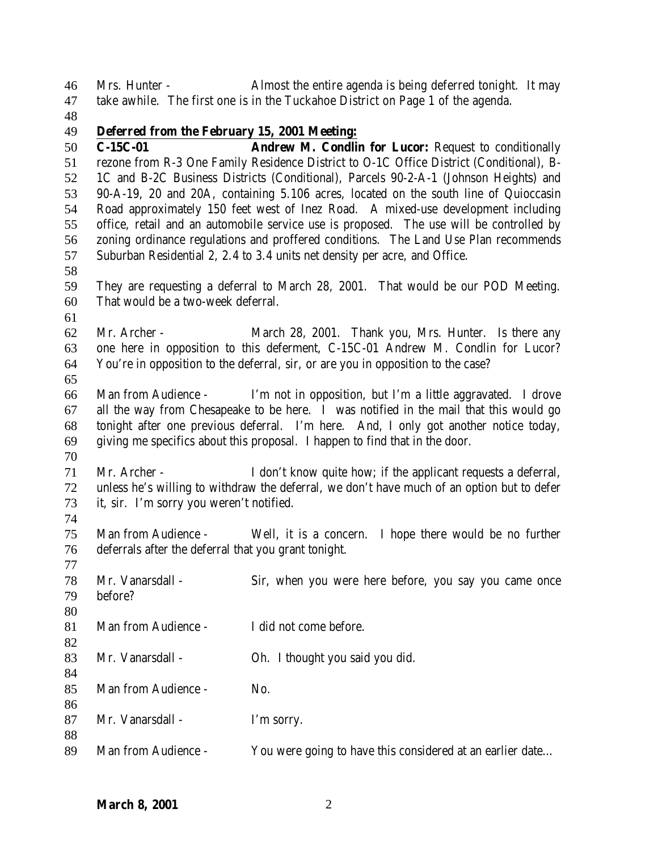Mrs. Hunter - Almost the entire agenda is being deferred tonight. It may take awhile. The first one is in the Tuckahoe District on Page 1 of the agenda.

## **Deferred from the February 15, 2001 Meeting:**

 **C-15C-01 Andrew M. Condlin for Lucor:** Request to conditionally rezone from R-3 One Family Residence District to O-1C Office District (Conditional), B- 1C and B-2C Business Districts (Conditional), Parcels 90-2-A-1 (Johnson Heights) and 90-A-19, 20 and 20A, containing 5.106 acres, located on the south line of Quioccasin Road approximately 150 feet west of Inez Road. A mixed-use development including office, retail and an automobile service use is proposed. The use will be controlled by zoning ordinance regulations and proffered conditions. The Land Use Plan recommends Suburban Residential 2, 2.4 to 3.4 units net density per acre, and Office.

 They are requesting a deferral to March 28, 2001. That would be our POD Meeting. That would be a two-week deferral.

 Mr. Archer - March 28, 2001. Thank you, Mrs. Hunter. Is there any one here in opposition to this deferment, C-15C-01 Andrew M. Condlin for Lucor? You're in opposition to the deferral, sir, or are you in opposition to the case?

 Man from Audience - I'm not in opposition, but I'm a little aggravated. I drove all the way from Chesapeake to be here. I was notified in the mail that this would go tonight after one previous deferral. I'm here. And, I only got another notice today, giving me specifics about this proposal. I happen to find that in the door. 

 Mr. Archer - I don't know quite how; if the applicant requests a deferral, unless he's willing to withdraw the deferral, we don't have much of an option but to defer it, sir. I'm sorry you weren't notified.

 Man from Audience - Well, it is a concern. I hope there would be no further deferrals after the deferral that you grant tonight.

 Mr. Vanarsdall - Sir, when you were here before, you say you came once before? Man from Audience - I did not come before. Mr. Vanarsdall - Oh. I thought you said you did. 85 Man from Audience - No. 87 Mr. Vanarsdall - I'm sorry. 89 Man from Audience - You were going to have this considered at an earlier date...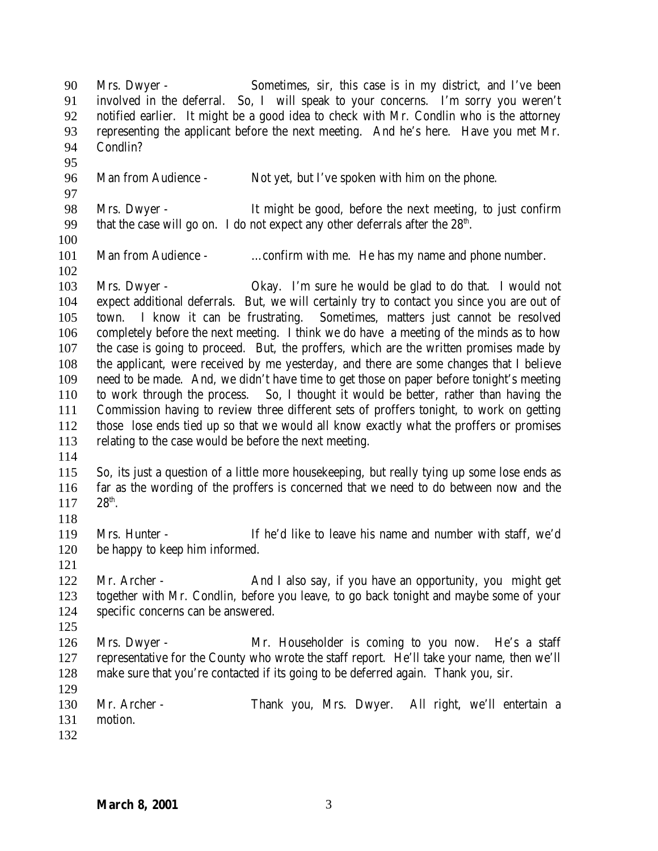Mrs. Dwyer - Sometimes, sir, this case is in my district, and I've been involved in the deferral. So, I will speak to your concerns. I'm sorry you weren't notified earlier. It might be a good idea to check with Mr. Condlin who is the attorney representing the applicant before the next meeting. And he's here. Have you met Mr. Condlin? Man from Audience - Not yet, but I've spoken with him on the phone. Mrs. Dwyer - It might be good, before the next meeting, to just confirm 99 that the case will go on. I do not expect any other deferrals after the  $28<sup>th</sup>$ . 101 Man from Audience - ... confirm with me. He has my name and phone number. Mrs. Dwyer - Okay. I'm sure he would be glad to do that. I would not expect additional deferrals. But, we will certainly try to contact you since you are out of town. I know it can be frustrating. Sometimes, matters just cannot be resolved completely before the next meeting. I think we do have a meeting of the minds as to how the case is going to proceed. But, the proffers, which are the written promises made by the applicant, were received by me yesterday, and there are some changes that I believe need to be made. And, we didn't have time to get those on paper before tonight's meeting to work through the process. So, I thought it would be better, rather than having the Commission having to review three different sets of proffers tonight, to work on getting those lose ends tied up so that we would all know exactly what the proffers or promises relating to the case would be before the next meeting. So, its just a question of a little more housekeeping, but really tying up some lose ends as far as the wording of the proffers is concerned that we need to do between now and the  $28^{th}$ . Mrs. Hunter - If he'd like to leave his name and number with staff, we'd be happy to keep him informed. 122 Mr. Archer - And I also say, if you have an opportunity, you might get together with Mr. Condlin, before you leave, to go back tonight and maybe some of your specific concerns can be answered. Mrs. Dwyer - Mr. Householder is coming to you now. He's a staff representative for the County who wrote the staff report. He'll take your name, then we'll make sure that you're contacted if its going to be deferred again. Thank you, sir. Mr. Archer - Thank you, Mrs. Dwyer. All right, we'll entertain a motion.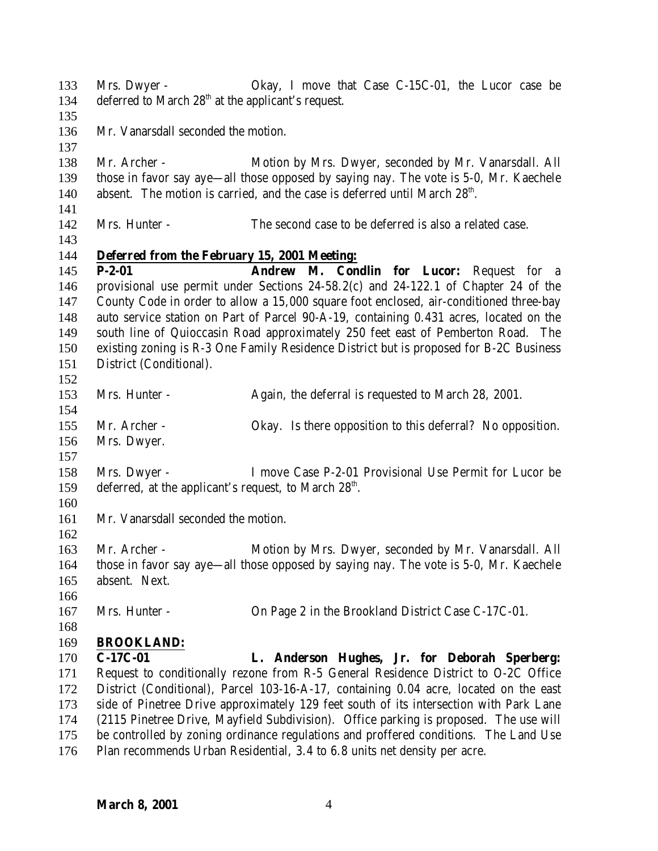Mrs. Dwyer - Okay, I move that Case C-15C-01, the Lucor case be 134 deferred to March  $28<sup>th</sup>$  at the applicant's request. Mr. Vanarsdall seconded the motion. Mr. Archer - Motion by Mrs. Dwyer, seconded by Mr. Vanarsdall. All those in favor say aye—all those opposed by saying nay. The vote is 5-0, Mr. Kaechele 140 absent. The motion is carried, and the case is deferred until March  $28<sup>th</sup>$ . Mrs. Hunter - The second case to be deferred is also a related case. **Deferred from the February 15, 2001 Meeting: P-2-01 Andrew M. Condlin for Lucor:** Request for a provisional use permit under Sections 24-58.2(c) and 24-122.1 of Chapter 24 of the County Code in order to allow a 15,000 square foot enclosed, air-conditioned three-bay auto service station on Part of Parcel 90-A-19, containing 0.431 acres, located on the south line of Quioccasin Road approximately 250 feet east of Pemberton Road. The existing zoning is R-3 One Family Residence District but is proposed for B-2C Business District (Conditional). Mrs. Hunter - Again, the deferral is requested to March 28, 2001. Mr. Archer - Okay. Is there opposition to this deferral? No opposition. Mrs. Dwyer. Mrs. Dwyer - I move Case P-2-01 Provisional Use Permit for Lucor be 159 deferred, at the applicant's request, to March  $28<sup>th</sup>$ . Mr. Vanarsdall seconded the motion. Mr. Archer - Motion by Mrs. Dwyer, seconded by Mr. Vanarsdall. All those in favor say aye—all those opposed by saying nay. The vote is 5-0, Mr. Kaechele absent. Next. Mrs. Hunter - On Page 2 in the Brookland District Case C-17C-01. **BROOKLAND: C-17C-01 L. Anderson Hughes, Jr. for Deborah Sperberg:** Request to conditionally rezone from R-5 General Residence District to O-2C Office District (Conditional), Parcel 103-16-A-17, containing 0.04 acre, located on the east side of Pinetree Drive approximately 129 feet south of its intersection with Park Lane (2115 Pinetree Drive, Mayfield Subdivision). Office parking is proposed. The use will be controlled by zoning ordinance regulations and proffered conditions. The Land Use Plan recommends Urban Residential, 3.4 to 6.8 units net density per acre.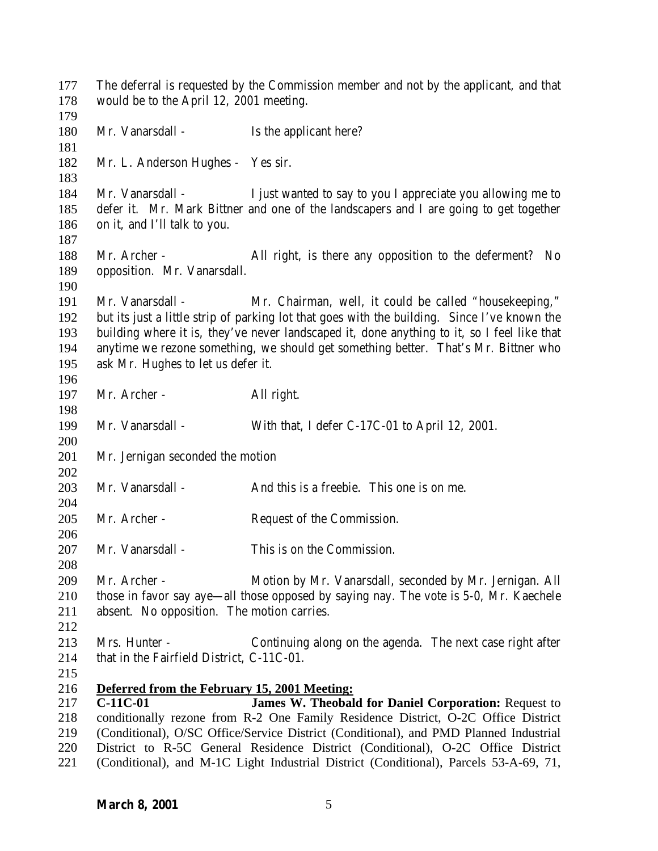The deferral is requested by the Commission member and not by the applicant, and that would be to the April 12, 2001 meeting. 180 Mr. Vanarsdall - Is the applicant here? Mr. L. Anderson Hughes - Yes sir. Mr. Vanarsdall - I just wanted to say to you I appreciate you allowing me to defer it. Mr. Mark Bittner and one of the landscapers and I are going to get together on it, and I'll talk to you. Mr. Archer - All right, is there any opposition to the deferment? No opposition. Mr. Vanarsdall. Mr. Vanarsdall - Mr. Chairman, well, it could be called "housekeeping," but its just a little strip of parking lot that goes with the building. Since I've known the building where it is, they've never landscaped it, done anything to it, so I feel like that anytime we rezone something, we should get something better. That's Mr. Bittner who ask Mr. Hughes to let us defer it. Mr. Archer - All right. Mr. Vanarsdall - With that, I defer C-17C-01 to April 12, 2001. Mr. Jernigan seconded the motion Mr. Vanarsdall - And this is a freebie. This one is on me. 205 Mr. Archer - Request of the Commission. Mr. Vanarsdall - This is on the Commission. Mr. Archer - Motion by Mr. Vanarsdall, seconded by Mr. Jernigan. All those in favor say aye—all those opposed by saying nay. The vote is 5-0, Mr. Kaechele absent. No opposition. The motion carries. Mrs. Hunter - Continuing along on the agenda. The next case right after 214 that in the Fairfield District, C-11C-01. **Deferred from the February 15, 2001 Meeting: C-11C-01 James W. Theobald for Daniel Corporation:** Request to conditionally rezone from R-2 One Family Residence District, O-2C Office District (Conditional), O/SC Office/Service District (Conditional), and PMD Planned Industrial District to R-5C General Residence District (Conditional), O-2C Office District (Conditional), and M-1C Light Industrial District (Conditional), Parcels 53-A-69, 71,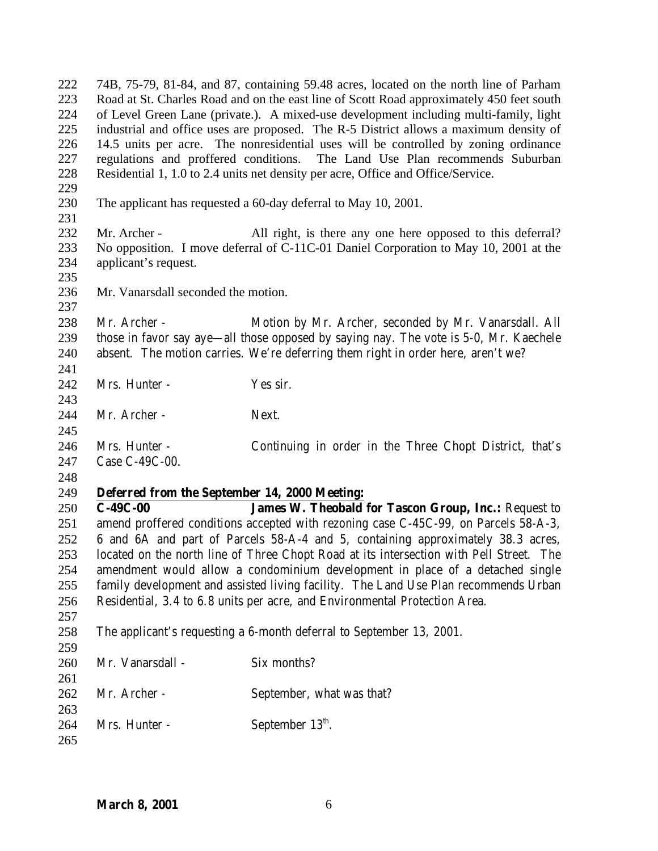74B, 75-79, 81-84, and 87, containing 59.48 acres, located on the north line of Parham Road at St. Charles Road and on the east line of Scott Road approximately 450 feet south of Level Green Lane (private.). A mixed-use development including multi-family, light industrial and office uses are proposed. The R-5 District allows a maximum density of 14.5 units per acre. The nonresidential uses will be controlled by zoning ordinance regulations and proffered conditions. The Land Use Plan recommends Suburban Residential 1, 1.0 to 2.4 units net density per acre, Office and Office/Service. The applicant has requested a 60-day deferral to May 10, 2001. 232 Mr. Archer - All right, is there any one here opposed to this deferral? No opposition. I move deferral of C-11C-01 Daniel Corporation to May 10, 2001 at the applicant's request. Mr. Vanarsdall seconded the motion. Mr. Archer - Motion by Mr. Archer, seconded by Mr. Vanarsdall. All those in favor say aye—all those opposed by saying nay. The vote is 5-0, Mr. Kaechele absent. The motion carries. We're deferring them right in order here, aren't we? 242 Mrs. Hunter - Yes sir. 244 Mr. Archer - Next. Mrs. Hunter - Continuing in order in the Three Chopt District, that's Case C-49C-00. **Deferred from the September 14, 2000 Meeting: C-49C-00 James W. Theobald for Tascon Group, Inc.:** Request to amend proffered conditions accepted with rezoning case C-45C-99, on Parcels 58-A-3, 6 and 6A and part of Parcels 58-A-4 and 5, containing approximately 38.3 acres, located on the north line of Three Chopt Road at its intersection with Pell Street. The amendment would allow a condominium development in place of a detached single family development and assisted living facility. The Land Use Plan recommends Urban Residential, 3.4 to 6.8 units per acre, and Environmental Protection Area. The applicant's requesting a 6-month deferral to September 13, 2001. Mr. Vanarsdall - Six months? Mr. Archer - September, what was that? 264 Mrs. Hunter - September  $13<sup>th</sup>$ .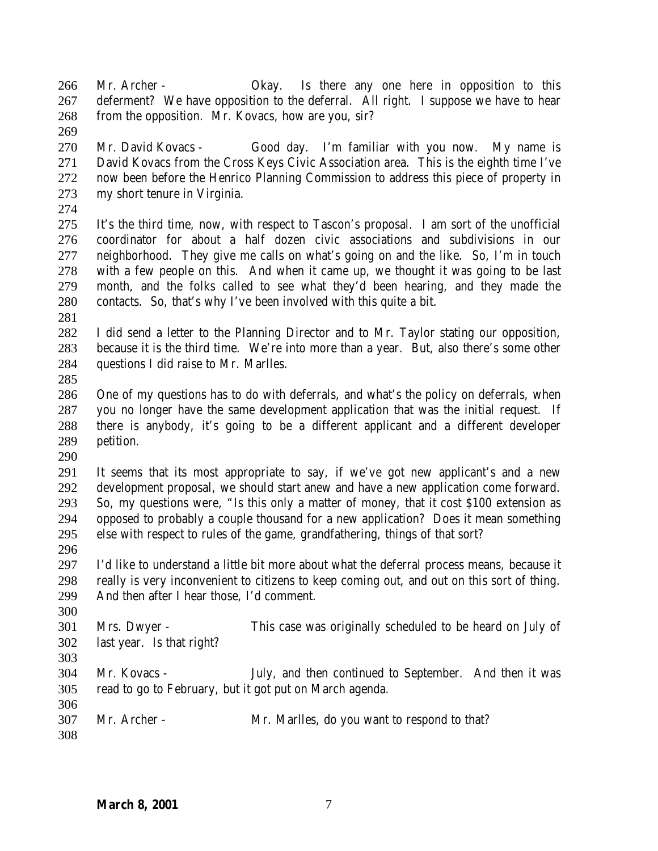Mr. Archer - Okay. Is there any one here in opposition to this deferment? We have opposition to the deferral. All right. I suppose we have to hear from the opposition. Mr. Kovacs, how are you, sir?

 Mr. David Kovacs - Good day. I'm familiar with you now. My name is David Kovacs from the Cross Keys Civic Association area. This is the eighth time I've now been before the Henrico Planning Commission to address this piece of property in my short tenure in Virginia.

 It's the third time, now, with respect to Tascon's proposal. I am sort of the unofficial coordinator for about a half dozen civic associations and subdivisions in our neighborhood. They give me calls on what's going on and the like. So, I'm in touch with a few people on this. And when it came up, we thought it was going to be last month, and the folks called to see what they'd been hearing, and they made the contacts. So, that's why I've been involved with this quite a bit.

 I did send a letter to the Planning Director and to Mr. Taylor stating our opposition, because it is the third time. We're into more than a year. But, also there's some other questions I did raise to Mr. Marlles.

 One of my questions has to do with deferrals, and what's the policy on deferrals, when you no longer have the same development application that was the initial request. If there is anybody, it's going to be a different applicant and a different developer petition. 

 It seems that its most appropriate to say, if we've got new applicant's and a new development proposal, we should start anew and have a new application come forward. So, my questions were, "Is this only a matter of money, that it cost \$100 extension as opposed to probably a couple thousand for a new application? Does it mean something else with respect to rules of the game, grandfathering, things of that sort?

 I'd like to understand a little bit more about what the deferral process means, because it really is very inconvenient to citizens to keep coming out, and out on this sort of thing. And then after I hear those, I'd comment.

 Mrs. Dwyer - This case was originally scheduled to be heard on July of last year. Is that right?

 Mr. Kovacs - July, and then continued to September. And then it was read to go to February, but it got put on March agenda. 

|     | 307 Mr. Archer - | Mr. Marlles, do you want to respond to that? |
|-----|------------------|----------------------------------------------|
| 308 |                  |                                              |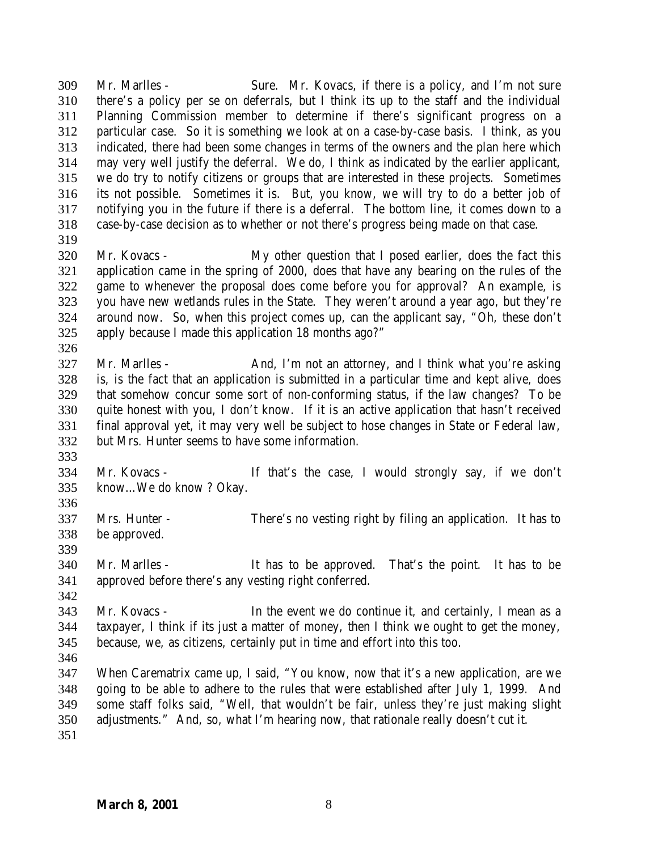Mr. Marlles - Sure. Mr. Kovacs, if there is a policy, and I'm not sure there's a policy per se on deferrals, but I think its up to the staff and the individual Planning Commission member to determine if there's significant progress on a particular case. So it is something we look at on a case-by-case basis. I think, as you indicated, there had been some changes in terms of the owners and the plan here which may very well justify the deferral. We do, I think as indicated by the earlier applicant, we do try to notify citizens or groups that are interested in these projects. Sometimes its not possible. Sometimes it is. But, you know, we will try to do a better job of notifying you in the future if there is a deferral. The bottom line, it comes down to a case-by-case decision as to whether or not there's progress being made on that case. 

- Mr. Kovacs My other question that I posed earlier, does the fact this application came in the spring of 2000, does that have any bearing on the rules of the game to whenever the proposal does come before you for approval? An example, is you have new wetlands rules in the State. They weren't around a year ago, but they're around now. So, when this project comes up, can the applicant say, "Oh, these don't apply because I made this application 18 months ago?"
- 327 Mr. Marlles And, I'm not an attorney, and I think what you're asking is, is the fact that an application is submitted in a particular time and kept alive, does that somehow concur some sort of non-conforming status, if the law changes? To be quite honest with you, I don't know. If it is an active application that hasn't received final approval yet, it may very well be subject to hose changes in State or Federal law, but Mrs. Hunter seems to have some information.
- 

- Mr. Kovacs If that's the case, I would strongly say, if we don't know…We do know ? Okay.
- Mrs. Hunter There's no vesting right by filing an application. It has to be approved.
- 
- Mr. Marlles It has to be approved. That's the point. It has to be approved before there's any vesting right conferred.
- Mr. Kovacs In the event we do continue it, and certainly, I mean as a taxpayer, I think if its just a matter of money, then I think we ought to get the money, because, we, as citizens, certainly put in time and effort into this too.
- 

 When Carematrix came up, I said, "You know, now that it's a new application, are we going to be able to adhere to the rules that were established after July 1, 1999. And some staff folks said, "Well, that wouldn't be fair, unless they're just making slight adjustments." And, so, what I'm hearing now, that rationale really doesn't cut it.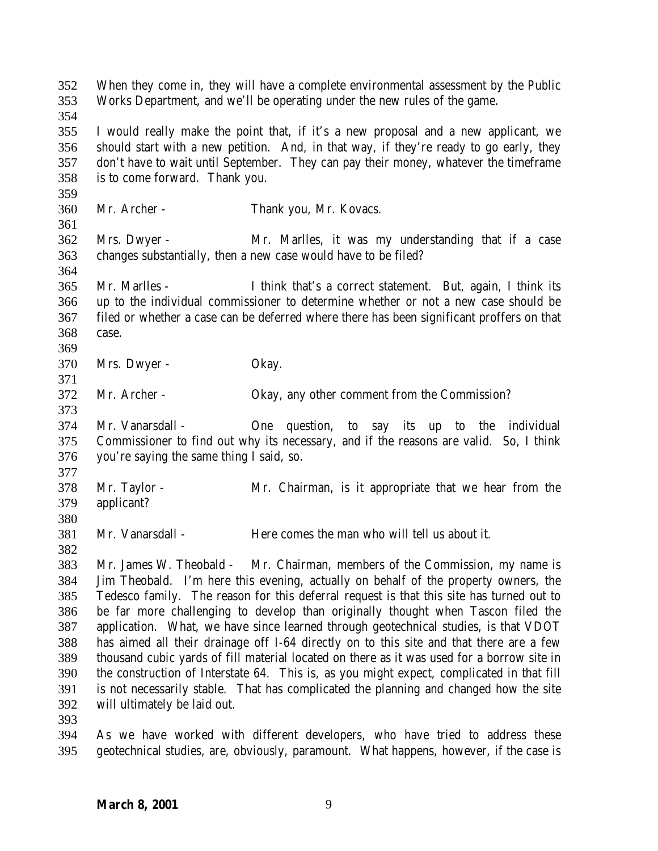| 352<br>353        |                                          | When they come in, they will have a complete environmental assessment by the Public<br>Works Department, and we'll be operating under the new rules of the game.             |
|-------------------|------------------------------------------|------------------------------------------------------------------------------------------------------------------------------------------------------------------------------|
| 354<br>355<br>356 |                                          | I would really make the point that, if it's a new proposal and a new applicant, we<br>should start with a new petition. And, in that way, if they're ready to go early, they |
| 357               |                                          | don't have to wait until September. They can pay their money, whatever the timeframe                                                                                         |
| 358               | is to come forward. Thank you.           |                                                                                                                                                                              |
| 359               |                                          |                                                                                                                                                                              |
| 360               | Mr. Archer -                             | Thank you, Mr. Kovacs.                                                                                                                                                       |
| 361               |                                          |                                                                                                                                                                              |
| 362               | Mrs. Dwyer -                             | Mr. Marlles, it was my understanding that if a case                                                                                                                          |
| 363               |                                          | changes substantially, then a new case would have to be filed?                                                                                                               |
| 364               |                                          |                                                                                                                                                                              |
| 365               | Mr. Marlles -                            | I think that's a correct statement. But, again, I think its                                                                                                                  |
| 366               |                                          | up to the individual commissioner to determine whether or not a new case should be                                                                                           |
| 367               |                                          | filed or whether a case can be deferred where there has been significant proffers on that                                                                                    |
| 368               | case.                                    |                                                                                                                                                                              |
| 369               |                                          |                                                                                                                                                                              |
| 370               | Mrs. Dwyer -                             | Okay.                                                                                                                                                                        |
| 371               |                                          |                                                                                                                                                                              |
| 372               | Mr. Archer -                             | Okay, any other comment from the Commission?                                                                                                                                 |
| 373               |                                          |                                                                                                                                                                              |
| 374               | Mr. Vanarsdall -                         | individual<br>One<br>question, to say its<br>the<br>up<br>to                                                                                                                 |
| 375               |                                          | Commissioner to find out why its necessary, and if the reasons are valid. So, I think                                                                                        |
| 376               | you're saying the same thing I said, so. |                                                                                                                                                                              |
| 377               |                                          |                                                                                                                                                                              |
| 378               | Mr. Taylor -                             | Mr. Chairman, is it appropriate that we hear from the                                                                                                                        |
| 379               | applicant?                               |                                                                                                                                                                              |
| 380               |                                          |                                                                                                                                                                              |
| 381               | Mr. Vanarsdall -                         | Here comes the man who will tell us about it.                                                                                                                                |
| 382               |                                          |                                                                                                                                                                              |
| 383               |                                          | Mr. James W. Theobald - Mr. Chairman, members of the Commission, my name is                                                                                                  |
| 384               |                                          | Jim Theobald. I'm here this evening, actually on behalf of the property owners, the                                                                                          |
| 385               |                                          | Tedesco family. The reason for this deferral request is that this site has turned out to                                                                                     |
| 386               |                                          | be far more challenging to develop than originally thought when Tascon filed the                                                                                             |
| 387               |                                          | application. What, we have since learned through geotechnical studies, is that VDOT                                                                                          |
| 388               |                                          | has aimed all their drainage off I-64 directly on to this site and that there are a few                                                                                      |
| 389               |                                          | thousand cubic yards of fill material located on there as it was used for a borrow site in                                                                                   |
| 390               |                                          | the construction of Interstate 64. This is, as you might expect, complicated in that fill                                                                                    |
| 391               |                                          | is not necessarily stable. That has complicated the planning and changed how the site                                                                                        |
| 392               | will ultimately be laid out.             |                                                                                                                                                                              |
| 393               |                                          |                                                                                                                                                                              |
| 394               |                                          | As we have worked with different developers, who have tried to address these                                                                                                 |
| 395               |                                          | geotechnical studies, are, obviously, paramount. What happens, however, if the case is                                                                                       |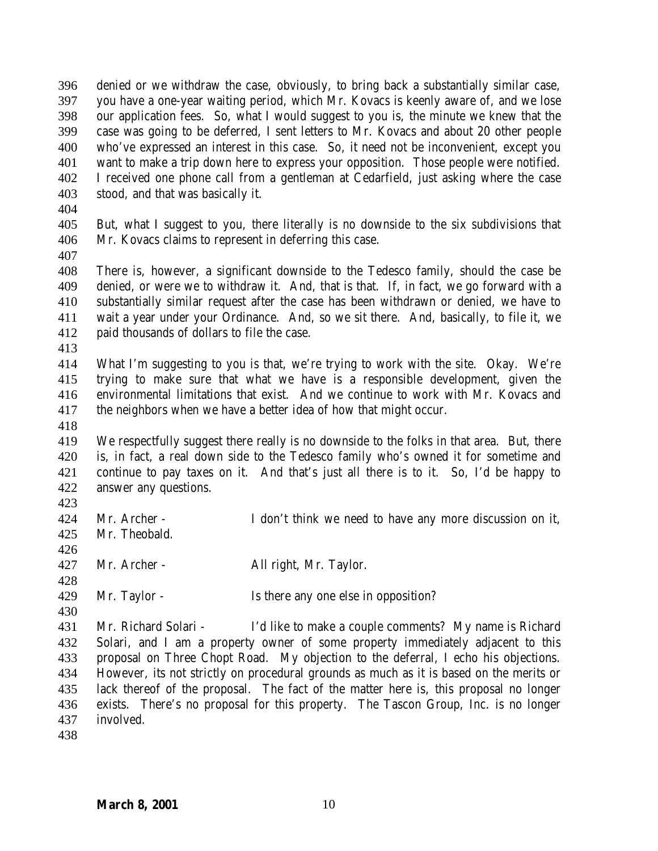denied or we withdraw the case, obviously, to bring back a substantially similar case, you have a one-year waiting period, which Mr. Kovacs is keenly aware of, and we lose our application fees. So, what I would suggest to you is, the minute we knew that the case was going to be deferred, I sent letters to Mr. Kovacs and about 20 other people who've expressed an interest in this case. So, it need not be inconvenient, except you want to make a trip down here to express your opposition. Those people were notified. I received one phone call from a gentleman at Cedarfield, just asking where the case stood, and that was basically it.

 But, what I suggest to you, there literally is no downside to the six subdivisions that Mr. Kovacs claims to represent in deferring this case.

 There is, however, a significant downside to the Tedesco family, should the case be denied, or were we to withdraw it. And, that is that. If, in fact, we go forward with a substantially similar request after the case has been withdrawn or denied, we have to wait a year under your Ordinance. And, so we sit there. And, basically, to file it, we paid thousands of dollars to file the case.

 What I'm suggesting to you is that, we're trying to work with the site. Okay. We're trying to make sure that what we have is a responsible development, given the environmental limitations that exist. And we continue to work with Mr. Kovacs and the neighbors when we have a better idea of how that might occur.

 We respectfully suggest there really is no downside to the folks in that area. But, there is, in fact, a real down side to the Tedesco family who's owned it for sometime and continue to pay taxes on it. And that's just all there is to it. So, I'd be happy to answer any questions.

 Mr. Archer - I don't think we need to have any more discussion on it, Mr. Theobald. 

 Mr. Archer - All right, Mr. Taylor. 

429 Mr. Taylor - Is there any one else in opposition?

 Mr. Richard Solari - I'd like to make a couple comments? My name is Richard Solari, and I am a property owner of some property immediately adjacent to this proposal on Three Chopt Road. My objection to the deferral, I echo his objections. However, its not strictly on procedural grounds as much as it is based on the merits or lack thereof of the proposal. The fact of the matter here is, this proposal no longer exists. There's no proposal for this property. The Tascon Group, Inc. is no longer involved.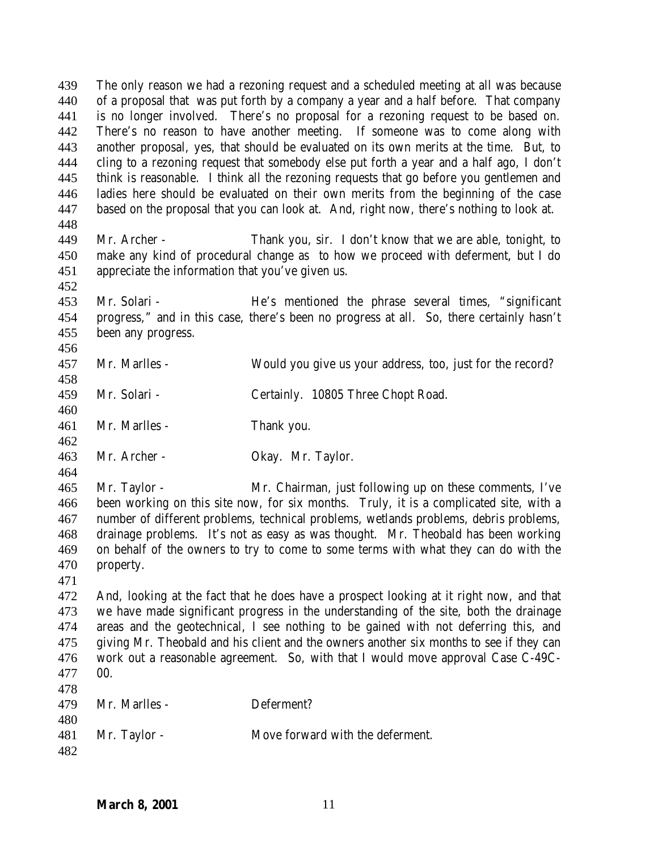The only reason we had a rezoning request and a scheduled meeting at all was because of a proposal that was put forth by a company a year and a half before. That company is no longer involved. There's no proposal for a rezoning request to be based on. There's no reason to have another meeting. If someone was to come along with another proposal, yes, that should be evaluated on its own merits at the time. But, to cling to a rezoning request that somebody else put forth a year and a half ago, I don't think is reasonable. I think all the rezoning requests that go before you gentlemen and ladies here should be evaluated on their own merits from the beginning of the case based on the proposal that you can look at. And, right now, there's nothing to look at. Mr. Archer - Thank you, sir. I don't know that we are able, tonight, to make any kind of procedural change as to how we proceed with deferment, but I do appreciate the information that you've given us. Mr. Solari - He's mentioned the phrase several times, "significant progress," and in this case, there's been no progress at all. So, there certainly hasn't been any progress. Mr. Marlles - Would you give us your address, too, just for the record? Mr. Solari - Certainly. 10805 Three Chopt Road. Mr. Marlles - Thank you. Mr. Archer - Okay. Mr. Taylor. Mr. Taylor - Mr. Chairman, just following up on these comments, I've been working on this site now, for six months. Truly, it is a complicated site, with a number of different problems, technical problems, wetlands problems, debris problems, drainage problems. It's not as easy as was thought. Mr. Theobald has been working on behalf of the owners to try to come to some terms with what they can do with the property. And, looking at the fact that he does have a prospect looking at it right now, and that we have made significant progress in the understanding of the site, both the drainage areas and the geotechnical, I see nothing to be gained with not deferring this, and giving Mr. Theobald and his client and the owners another six months to see if they can work out a reasonable agreement. So, with that I would move approval Case C-49C- 00. Mr. Marlles - Deferment? Mr. Taylor - Move forward with the deferment.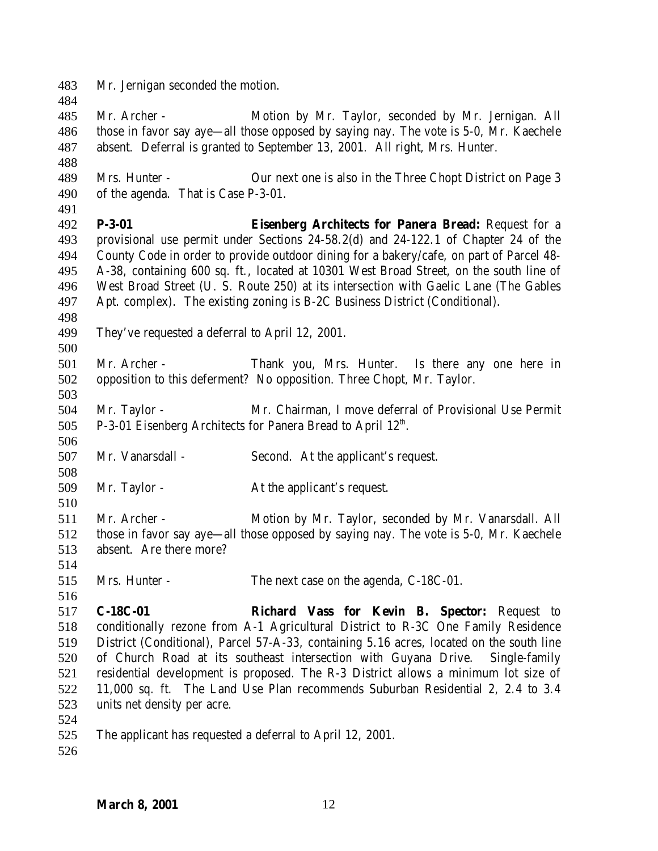Mr. Jernigan seconded the motion.

 Mr. Archer - Motion by Mr. Taylor, seconded by Mr. Jernigan. All those in favor say aye—all those opposed by saying nay. The vote is 5-0, Mr. Kaechele absent. Deferral is granted to September 13, 2001. All right, Mrs. Hunter.

 Mrs. Hunter - Our next one is also in the Three Chopt District on Page 3 of the agenda. That is Case P-3-01.

 **P-3-01 Eisenberg Architects for Panera Bread:** Request for a provisional use permit under Sections 24-58.2(d) and 24-122.1 of Chapter 24 of the County Code in order to provide outdoor dining for a bakery/cafe, on part of Parcel 48- A-38, containing 600 sq. ft., located at 10301 West Broad Street, on the south line of West Broad Street (U. S. Route 250) at its intersection with Gaelic Lane (The Gables Apt. complex). The existing zoning is B-2C Business District (Conditional).

They've requested a deferral to April 12, 2001.

 Mr. Archer - Thank you, Mrs. Hunter. Is there any one here in opposition to this deferment? No opposition. Three Chopt, Mr. Taylor. 

 Mr. Taylor - Mr. Chairman, I move deferral of Provisional Use Permit 505 P-3-01 Eisenberg Architects for Panera Bread to April  $12<sup>th</sup>$ .

Mr. Vanarsdall - Second. At the applicant's request.

Mr. Taylor - At the applicant's request.

 Mr. Archer - Motion by Mr. Taylor, seconded by Mr. Vanarsdall. All those in favor say aye—all those opposed by saying nay. The vote is 5-0, Mr. Kaechele absent. Are there more?

Mrs. Hunter - The next case on the agenda, C-18C-01.

 **C-18C-01 Richard Vass for Kevin B. Spector:** Request to conditionally rezone from A-1 Agricultural District to R-3C One Family Residence District (Conditional), Parcel 57-A-33, containing 5.16 acres, located on the south line of Church Road at its southeast intersection with Guyana Drive. Single-family residential development is proposed. The R-3 District allows a minimum lot size of 11,000 sq. ft. The Land Use Plan recommends Suburban Residential 2, 2.4 to 3.4 units net density per acre.

The applicant has requested a deferral to April 12, 2001.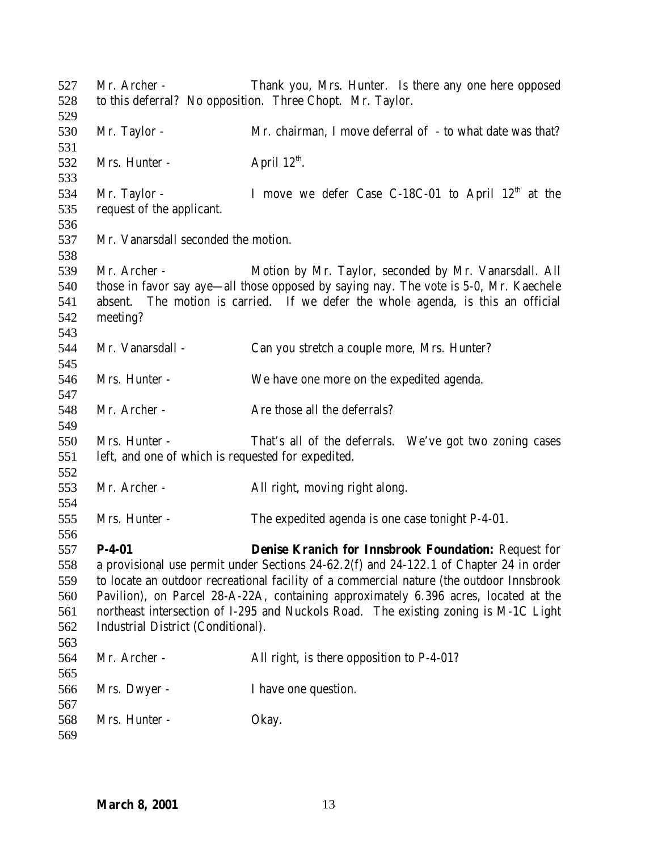Mr. Archer - Thank you, Mrs. Hunter. Is there any one here opposed to this deferral? No opposition. Three Chopt. Mr. Taylor. Mr. Taylor - Mr. chairman, I move deferral of - to what date was that? Mrs. Hunter - April  $12<sup>th</sup>$ . 534 Mr. Taylor - I move we defer Case C-18C-01 to April  $12<sup>th</sup>$  at the request of the applicant. Mr. Vanarsdall seconded the motion. Mr. Archer - Motion by Mr. Taylor, seconded by Mr. Vanarsdall. All those in favor say aye—all those opposed by saying nay. The vote is 5-0, Mr. Kaechele absent. The motion is carried. If we defer the whole agenda, is this an official meeting? Mr. Vanarsdall - Can you stretch a couple more, Mrs. Hunter? Mrs. Hunter - We have one more on the expedited agenda. 548 Mr. Archer - Are those all the deferrals? Mrs. Hunter - That's all of the deferrals. We've got two zoning cases left, and one of which is requested for expedited. Mr. Archer - All right, moving right along. Mrs. Hunter - The expedited agenda is one case tonight P-4-01. **P-4-01 Denise Kranich for Innsbrook Foundation:** Request for a provisional use permit under Sections 24-62.2(f) and 24-122.1 of Chapter 24 in order to locate an outdoor recreational facility of a commercial nature (the outdoor Innsbrook Pavilion), on Parcel 28-A-22A, containing approximately 6.396 acres, located at the northeast intersection of I-295 and Nuckols Road. The existing zoning is M-1C Light Industrial District (Conditional). Mr. Archer - All right, is there opposition to P-4-01? Mrs. Dwyer - I have one question. Mrs. Hunter - Okay.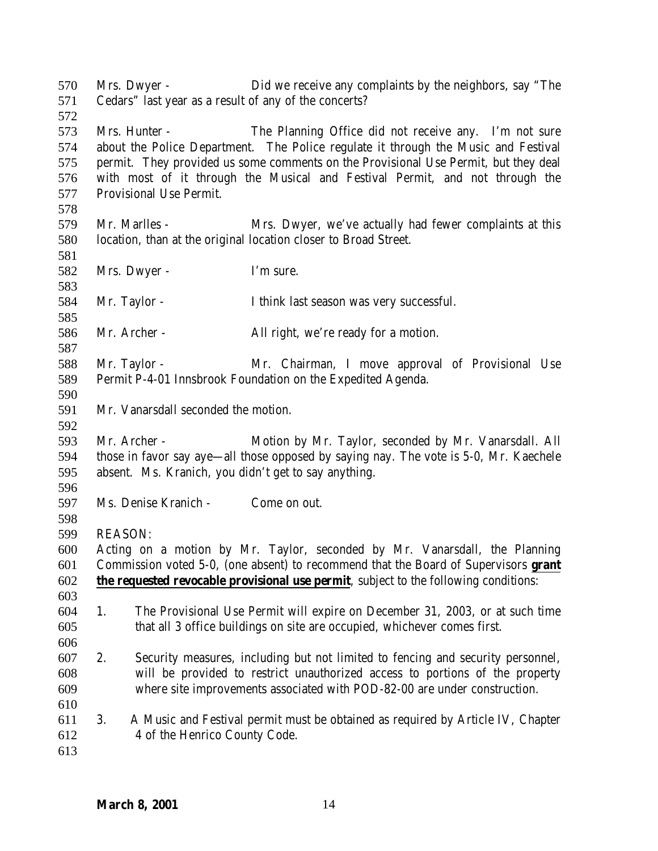| 570<br>571 |                | Mrs. Dwyer -                        | Did we receive any complaints by the neighbors, say "The<br>Cedars" last year as a result of any of the concerts?                           |
|------------|----------------|-------------------------------------|---------------------------------------------------------------------------------------------------------------------------------------------|
| 572        |                |                                     |                                                                                                                                             |
| 573        |                | Mrs. Hunter -                       | The Planning Office did not receive any. I'm not sure<br>about the Police Department. The Police regulate it through the Music and Festival |
| 574        |                |                                     |                                                                                                                                             |
| 575        |                |                                     | permit. They provided us some comments on the Provisional Use Permit, but they deal                                                         |
| 576        |                | Provisional Use Permit.             | with most of it through the Musical and Festival Permit, and not through the                                                                |
| 577<br>578 |                |                                     |                                                                                                                                             |
| 579        |                | Mr. Marlles -                       | Mrs. Dwyer, we've actually had fewer complaints at this                                                                                     |
| 580        |                |                                     | location, than at the original location closer to Broad Street.                                                                             |
| 581        |                |                                     |                                                                                                                                             |
| 582        |                | Mrs. Dwyer -                        | I'm sure.                                                                                                                                   |
| 583        |                |                                     |                                                                                                                                             |
| 584        |                | Mr. Taylor -                        | I think last season was very successful.                                                                                                    |
| 585        |                |                                     |                                                                                                                                             |
| 586        |                | Mr. Archer -                        | All right, we're ready for a motion.                                                                                                        |
| 587        |                |                                     |                                                                                                                                             |
| 588        |                | Mr. Taylor -                        | Mr. Chairman, I move approval of Provisional Use                                                                                            |
| 589        |                |                                     | Permit P-4-01 Innsbrook Foundation on the Expedited Agenda.                                                                                 |
| 590        |                |                                     |                                                                                                                                             |
| 591        |                | Mr. Vanarsdall seconded the motion. |                                                                                                                                             |
| 592        |                |                                     |                                                                                                                                             |
| 593        |                | Mr. Archer -                        | Motion by Mr. Taylor, seconded by Mr. Vanarsdall. All                                                                                       |
| 594        |                |                                     | those in favor say aye—all those opposed by saying nay. The vote is 5-0, Mr. Kaechele                                                       |
| 595        |                |                                     | absent. Ms. Kranich, you didn't get to say anything.                                                                                        |
| 596        |                |                                     |                                                                                                                                             |
| 597        |                | Ms. Denise Kranich -                | Come on out.                                                                                                                                |
| 598        |                |                                     |                                                                                                                                             |
| 599        | <b>REASON:</b> |                                     |                                                                                                                                             |
| 600        |                |                                     | Acting on a motion by Mr. Taylor, seconded by Mr. Vanarsdall, the Planning                                                                  |
| 601        |                |                                     | Commission voted 5-0, (one absent) to recommend that the Board of Supervisors grant                                                         |
| 602        |                |                                     | <b>the requested revocable provisional use permit</b> , subject to the following conditions:                                                |
| 603        |                |                                     |                                                                                                                                             |
| 604        | 1.             |                                     | The Provisional Use Permit will expire on December 31, 2003, or at such time                                                                |
| 605        |                |                                     | that all 3 office buildings on site are occupied, whichever comes first.                                                                    |
| 606        |                |                                     |                                                                                                                                             |
| 607        | 2.             |                                     | Security measures, including but not limited to fencing and security personnel,                                                             |
| 608        |                |                                     | will be provided to restrict unauthorized access to portions of the property                                                                |
| 609        |                |                                     | where site improvements associated with POD-82-00 are under construction.                                                                   |
| 610        |                |                                     |                                                                                                                                             |
| 611        | 3.             |                                     | A Music and Festival permit must be obtained as required by Article IV, Chapter                                                             |
| 612        |                | 4 of the Henrico County Code.       |                                                                                                                                             |
| 613        |                |                                     |                                                                                                                                             |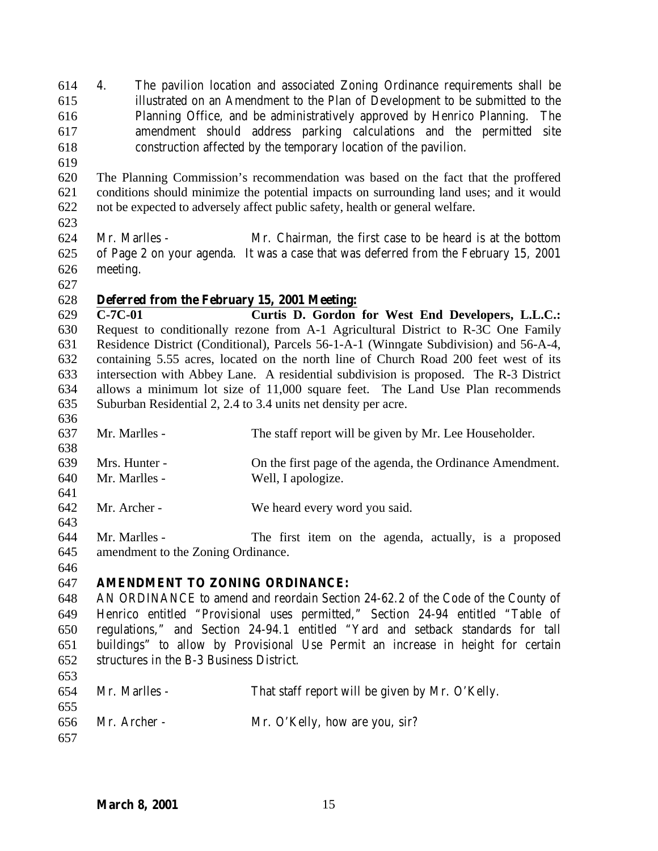- 4. The pavilion location and associated Zoning Ordinance requirements shall be illustrated on an Amendment to the Plan of Development to be submitted to the Planning Office, and be administratively approved by Henrico Planning. The amendment should address parking calculations and the permitted site construction affected by the temporary location of the pavilion.
- 
- The Planning Commission's recommendation was based on the fact that the proffered conditions should minimize the potential impacts on surrounding land uses; and it would not be expected to adversely affect public safety, health or general welfare.
- 
- Mr. Marlles Mr. Chairman, the first case to be heard is at the bottom of Page 2 on your agenda. It was a case that was deferred from the February 15, 2001 meeting.
- 

## **Deferred from the February 15, 2001 Meeting:**

 **C-7C-01 Curtis D. Gordon for West End Developers, L.L.C.:** Request to conditionally rezone from A-1 Agricultural District to R-3C One Family Residence District (Conditional), Parcels 56-1-A-1 (Winngate Subdivision) and 56-A-4, containing 5.55 acres, located on the north line of Church Road 200 feet west of its intersection with Abbey Lane. A residential subdivision is proposed. The R-3 District allows a minimum lot size of 11,000 square feet. The Land Use Plan recommends Suburban Residential 2, 2.4 to 3.4 units net density per acre.

- Mr. Marlles - The staff report will be given by Mr. Lee Householder. Mrs. Hunter - On the first page of the agenda, the Ordinance Amendment. Mr. Marlles - Well, I apologize. Mr. Archer - We heard every word you said.
- Mr. Marlles The first item on the agenda, actually, is a proposed amendment to the Zoning Ordinance.
- 

## **AMENDMENT TO ZONING ORDINANCE:**

 AN ORDINANCE to amend and reordain Section 24-62.2 of the Code of the County of Henrico entitled "Provisional uses permitted," Section 24-94 entitled "Table of regulations," and Section 24-94.1 entitled "Yard and setback standards for tall buildings" to allow by Provisional Use Permit an increase in height for certain structures in the B-3 Business District.

| 654<br>655 | Mr. Marlles -      | That staff report will be given by Mr. O'Kelly. |
|------------|--------------------|-------------------------------------------------|
| 657        | $656$ Mr. Archer - | Mr. O'Kelly, how are you, sir?                  |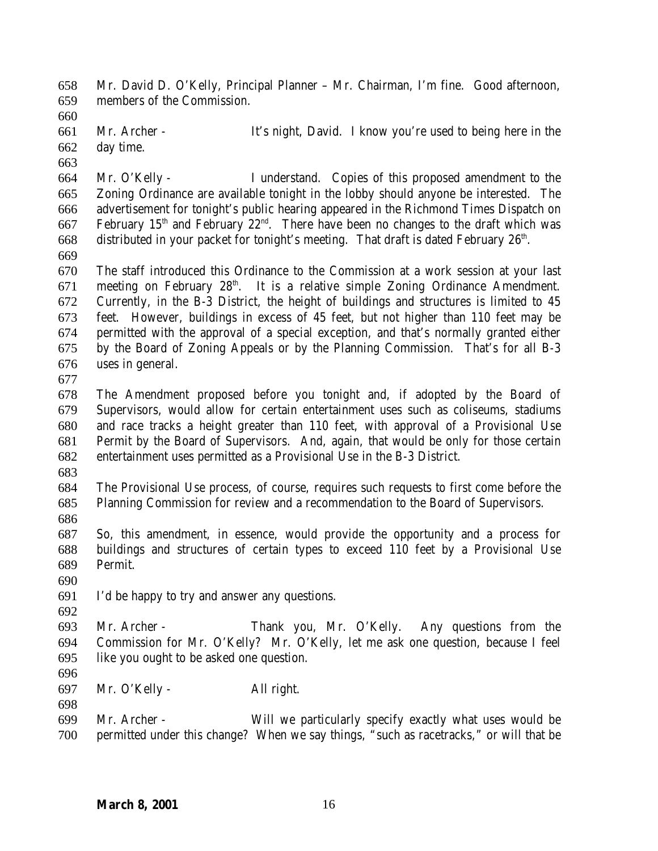Mr. David D. O'Kelly, Principal Planner – Mr. Chairman, I'm fine. Good afternoon, members of the Commission.

 Mr. Archer - It's night, David. I know you're used to being here in the day time.

 Mr. O'Kelly - I understand. Copies of this proposed amendment to the Zoning Ordinance are available tonight in the lobby should anyone be interested. The advertisement for tonight's public hearing appeared in the Richmond Times Dispatch on 667 February  $15<sup>th</sup>$  and February  $22<sup>nd</sup>$ . There have been no changes to the draft which was 668 distributed in your packet for tonight's meeting. That draft is dated February  $26<sup>th</sup>$ .

 The staff introduced this Ordinance to the Commission at a work session at your last 671 meeting on February  $28<sup>th</sup>$ . It is a relative simple Zoning Ordinance Amendment. Currently, in the B-3 District, the height of buildings and structures is limited to 45 feet. However, buildings in excess of 45 feet, but not higher than 110 feet may be permitted with the approval of a special exception, and that's normally granted either by the Board of Zoning Appeals or by the Planning Commission. That's for all B-3 uses in general.

 The Amendment proposed before you tonight and, if adopted by the Board of Supervisors, would allow for certain entertainment uses such as coliseums, stadiums and race tracks a height greater than 110 feet, with approval of a Provisional Use Permit by the Board of Supervisors. And, again, that would be only for those certain entertainment uses permitted as a Provisional Use in the B-3 District.

 The Provisional Use process, of course, requires such requests to first come before the Planning Commission for review and a recommendation to the Board of Supervisors.

 So, this amendment, in essence, would provide the opportunity and a process for buildings and structures of certain types to exceed 110 feet by a Provisional Use Permit.

I'd be happy to try and answer any questions.

 Mr. Archer - Thank you, Mr. O'Kelly. Any questions from the Commission for Mr. O'Kelly? Mr. O'Kelly, let me ask one question, because I feel like you ought to be asked one question.

Mr. O'Kelly - All right.

 Mr. Archer - Will we particularly specify exactly what uses would be permitted under this change? When we say things, "such as racetracks," or will that be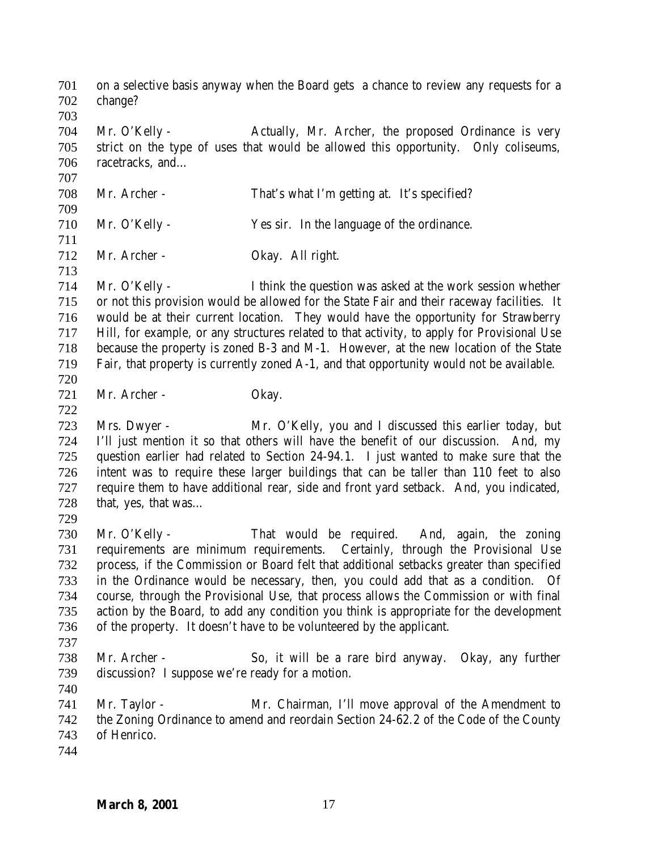on a selective basis anyway when the Board gets a chance to review any requests for a change? Mr. O'Kelly - Actually, Mr. Archer, the proposed Ordinance is very strict on the type of uses that would be allowed this opportunity. Only coliseums, racetracks, and… Mr. Archer - That's what I'm getting at. It's specified? Mr. O'Kelly - Yes sir. In the language of the ordinance. Mr. Archer - Okay. All right. Mr. O'Kelly - I think the question was asked at the work session whether or not this provision would be allowed for the State Fair and their raceway facilities. It would be at their current location. They would have the opportunity for Strawberry Hill, for example, or any structures related to that activity, to apply for Provisional Use because the property is zoned B-3 and M-1. However, at the new location of the State Fair, that property is currently zoned A-1, and that opportunity would not be available. Mr. Archer - Okay. Mrs. Dwyer - Mr. O'Kelly, you and I discussed this earlier today, but I'll just mention it so that others will have the benefit of our discussion. And, my question earlier had related to Section 24-94.1. I just wanted to make sure that the intent was to require these larger buildings that can be taller than 110 feet to also require them to have additional rear, side and front yard setback. And, you indicated, 728 that, yes, that was... Mr. O'Kelly - That would be required. And, again, the zoning requirements are minimum requirements. Certainly, through the Provisional Use process, if the Commission or Board felt that additional setbacks greater than specified in the Ordinance would be necessary, then, you could add that as a condition. Of course, through the Provisional Use, that process allows the Commission or with final action by the Board, to add any condition you think is appropriate for the development of the property. It doesn't have to be volunteered by the applicant. Mr. Archer - So, it will be a rare bird anyway. Okay, any further discussion? I suppose we're ready for a motion. Mr. Taylor - Mr. Chairman, I'll move approval of the Amendment to the Zoning Ordinance to amend and reordain Section 24-62.2 of the Code of the County of Henrico.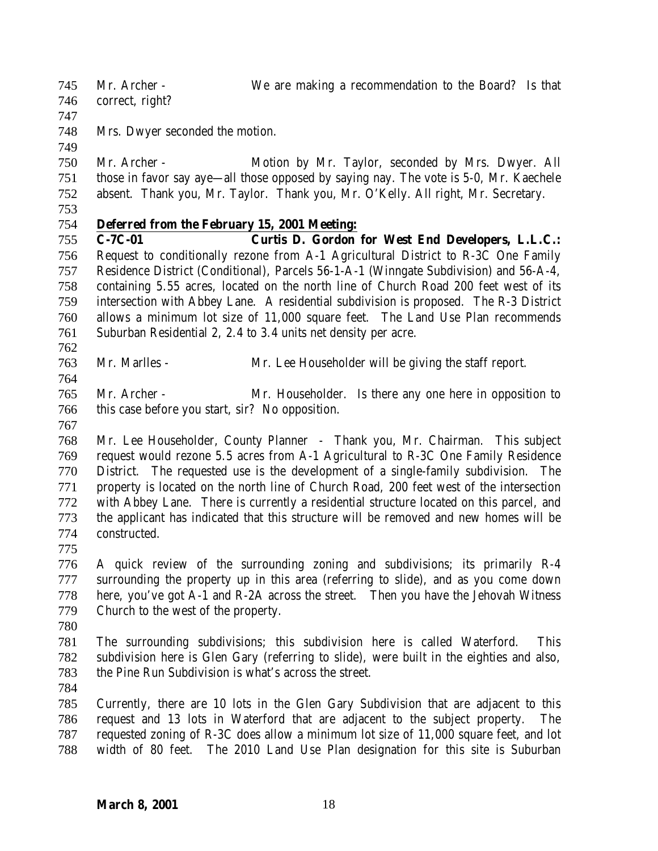Mr. Archer - We are making a recommendation to the Board? Is that

- correct, right?
- 

Mrs. Dwyer seconded the motion.

 Mr. Archer - Motion by Mr. Taylor, seconded by Mrs. Dwyer. All those in favor say aye—all those opposed by saying nay. The vote is 5-0, Mr. Kaechele absent. Thank you, Mr. Taylor. Thank you, Mr. O'Kelly. All right, Mr. Secretary.

## **Deferred from the February 15, 2001 Meeting:**

 **C-7C-01 Curtis D. Gordon for West End Developers, L.L.C.:** Request to conditionally rezone from A-1 Agricultural District to R-3C One Family Residence District (Conditional), Parcels 56-1-A-1 (Winngate Subdivision) and 56-A-4, containing 5.55 acres, located on the north line of Church Road 200 feet west of its intersection with Abbey Lane. A residential subdivision is proposed. The R-3 District allows a minimum lot size of 11,000 square feet. The Land Use Plan recommends Suburban Residential 2, 2.4 to 3.4 units net density per acre.

- Mr. Marlles Mr. Lee Householder will be giving the staff report.
- Mr. Archer Mr. Householder. Is there any one here in opposition to this case before you start, sir? No opposition.
- 

 Mr. Lee Householder, County Planner - Thank you, Mr. Chairman. This subject request would rezone 5.5 acres from A-1 Agricultural to R-3C One Family Residence District. The requested use is the development of a single-family subdivision. The property is located on the north line of Church Road, 200 feet west of the intersection with Abbey Lane. There is currently a residential structure located on this parcel, and the applicant has indicated that this structure will be removed and new homes will be constructed.

 A quick review of the surrounding zoning and subdivisions; its primarily R-4 surrounding the property up in this area (referring to slide), and as you come down here, you've got A-1 and R-2A across the street. Then you have the Jehovah Witness Church to the west of the property.

 The surrounding subdivisions; this subdivision here is called Waterford. This subdivision here is Glen Gary (referring to slide), were built in the eighties and also, the Pine Run Subdivision is what's across the street.

 Currently, there are 10 lots in the Glen Gary Subdivision that are adjacent to this request and 13 lots in Waterford that are adjacent to the subject property. The requested zoning of R-3C does allow a minimum lot size of 11,000 square feet, and lot width of 80 feet. The 2010 Land Use Plan designation for this site is Suburban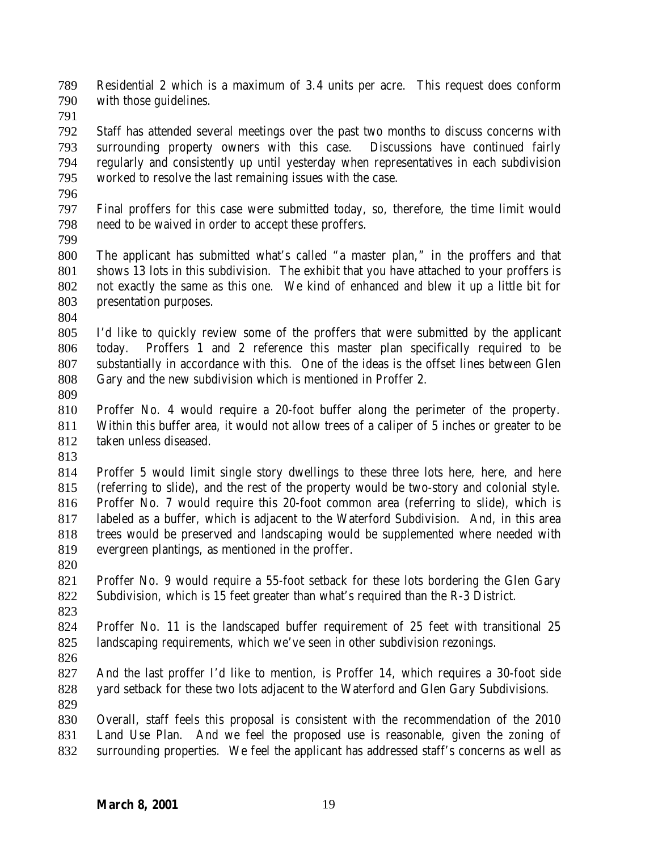Residential 2 which is a maximum of 3.4 units per acre. This request does conform with those guidelines.

 Staff has attended several meetings over the past two months to discuss concerns with surrounding property owners with this case. Discussions have continued fairly regularly and consistently up until yesterday when representatives in each subdivision worked to resolve the last remaining issues with the case.

 Final proffers for this case were submitted today, so, therefore, the time limit would need to be waived in order to accept these proffers.

 The applicant has submitted what's called "a master plan," in the proffers and that shows 13 lots in this subdivision. The exhibit that you have attached to your proffers is not exactly the same as this one. We kind of enhanced and blew it up a little bit for presentation purposes.

 I'd like to quickly review some of the proffers that were submitted by the applicant today. Proffers 1 and 2 reference this master plan specifically required to be substantially in accordance with this. One of the ideas is the offset lines between Glen Gary and the new subdivision which is mentioned in Proffer 2.

 Proffer No. 4 would require a 20-foot buffer along the perimeter of the property. Within this buffer area, it would not allow trees of a caliper of 5 inches or greater to be taken unless diseased.

 Proffer 5 would limit single story dwellings to these three lots here, here, and here (referring to slide), and the rest of the property would be two-story and colonial style. Proffer No. 7 would require this 20-foot common area (referring to slide), which is labeled as a buffer, which is adjacent to the Waterford Subdivision. And, in this area trees would be preserved and landscaping would be supplemented where needed with evergreen plantings, as mentioned in the proffer.

 Proffer No. 9 would require a 55-foot setback for these lots bordering the Glen Gary Subdivision, which is 15 feet greater than what's required than the R-3 District.

 Proffer No. 11 is the landscaped buffer requirement of 25 feet with transitional 25 landscaping requirements, which we've seen in other subdivision rezonings.

 And the last proffer I'd like to mention, is Proffer 14, which requires a 30-foot side yard setback for these two lots adjacent to the Waterford and Glen Gary Subdivisions.

 Overall, staff feels this proposal is consistent with the recommendation of the 2010 Land Use Plan. And we feel the proposed use is reasonable, given the zoning of surrounding properties. We feel the applicant has addressed staff's concerns as well as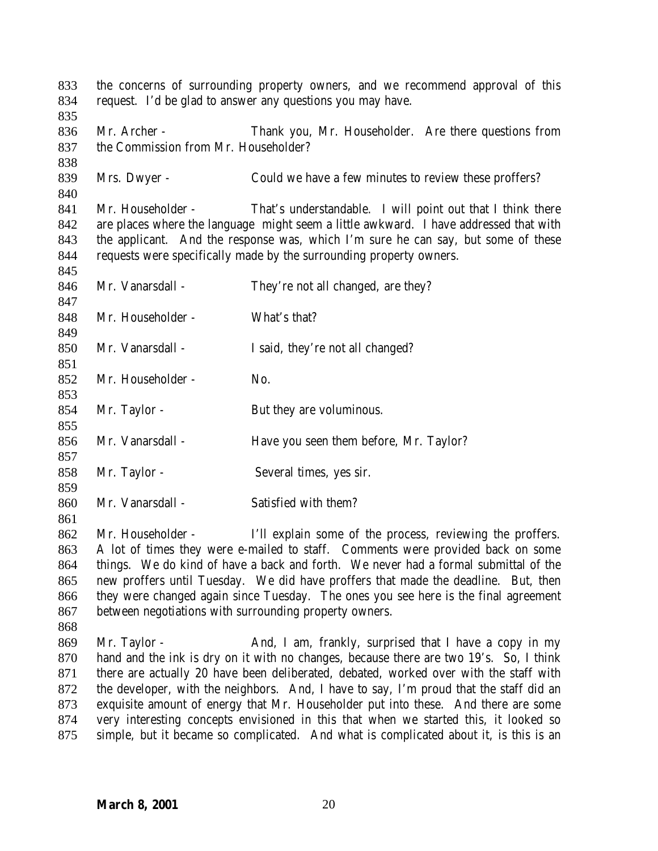| 833<br>834 | the concerns of surrounding property owners, and we recommend approval of this<br>request. I'd be glad to answer any questions you may have. |                                                                                        |  |
|------------|----------------------------------------------------------------------------------------------------------------------------------------------|----------------------------------------------------------------------------------------|--|
| 835        | Mr. Archer -                                                                                                                                 |                                                                                        |  |
| 836<br>837 | the Commission from Mr. Householder?                                                                                                         | Thank you, Mr. Householder. Are there questions from                                   |  |
|            |                                                                                                                                              |                                                                                        |  |
| 838<br>839 |                                                                                                                                              |                                                                                        |  |
|            | Mrs. Dwyer -                                                                                                                                 | Could we have a few minutes to review these proffers?                                  |  |
| 840        |                                                                                                                                              |                                                                                        |  |
| 841        | Mr. Householder -                                                                                                                            | That's understandable. I will point out that I think there                             |  |
| 842        |                                                                                                                                              | are places where the language might seem a little awkward. I have addressed that with  |  |
| 843        |                                                                                                                                              | the applicant. And the response was, which I'm sure he can say, but some of these      |  |
| 844        |                                                                                                                                              | requests were specifically made by the surrounding property owners.                    |  |
| 845        | Mr. Vanarsdall -                                                                                                                             |                                                                                        |  |
| 846<br>847 |                                                                                                                                              | They're not all changed, are they?                                                     |  |
| 848        | Mr. Householder -                                                                                                                            | What's that?                                                                           |  |
| 849        |                                                                                                                                              |                                                                                        |  |
| 850        | Mr. Vanarsdall -                                                                                                                             | I said, they're not all changed?                                                       |  |
| 851        |                                                                                                                                              |                                                                                        |  |
| 852        | Mr. Householder -                                                                                                                            | No.                                                                                    |  |
| 853        |                                                                                                                                              |                                                                                        |  |
| 854        | Mr. Taylor -                                                                                                                                 | But they are voluminous.                                                               |  |
| 855        |                                                                                                                                              |                                                                                        |  |
| 856        | Mr. Vanarsdall -                                                                                                                             | Have you seen them before, Mr. Taylor?                                                 |  |
| 857        |                                                                                                                                              |                                                                                        |  |
| 858        | Mr. Taylor -                                                                                                                                 | Several times, yes sir.                                                                |  |
| 859        |                                                                                                                                              |                                                                                        |  |
| 860        | Mr. Vanarsdall -                                                                                                                             | Satisfied with them?                                                                   |  |
| 861        |                                                                                                                                              |                                                                                        |  |
| 862        |                                                                                                                                              | Mr. Householder - I'll explain some of the process, reviewing the proffers.            |  |
| 863        |                                                                                                                                              | A lot of times they were e-mailed to staff. Comments were provided back on some        |  |
| 864        |                                                                                                                                              | things. We do kind of have a back and forth. We never had a formal submittal of the    |  |
| 865        |                                                                                                                                              | new proffers until Tuesday. We did have proffers that made the deadline. But, then     |  |
| 866        |                                                                                                                                              | they were changed again since Tuesday. The ones you see here is the final agreement    |  |
| 867        | between negotiations with surrounding property owners.                                                                                       |                                                                                        |  |
| 868        |                                                                                                                                              |                                                                                        |  |
| 869        | Mr. Taylor -                                                                                                                                 | And, I am, frankly, surprised that I have a copy in my                                 |  |
| 870        | hand and the ink is dry on it with no changes, because there are two 19's. So, I think                                                       |                                                                                        |  |
| 871        |                                                                                                                                              | there are actually 20 have been deliberated, debated, worked over with the staff with  |  |
| 872        |                                                                                                                                              | the developer, with the neighbors. And, I have to say, I'm proud that the staff did an |  |
| 873        |                                                                                                                                              | exquisite amount of energy that Mr. Householder put into these. And there are some     |  |
| 874        |                                                                                                                                              | very interesting concepts envisioned in this that when we started this, it looked so   |  |
| 875        |                                                                                                                                              | simple, but it became so complicated. And what is complicated about it, is this is an  |  |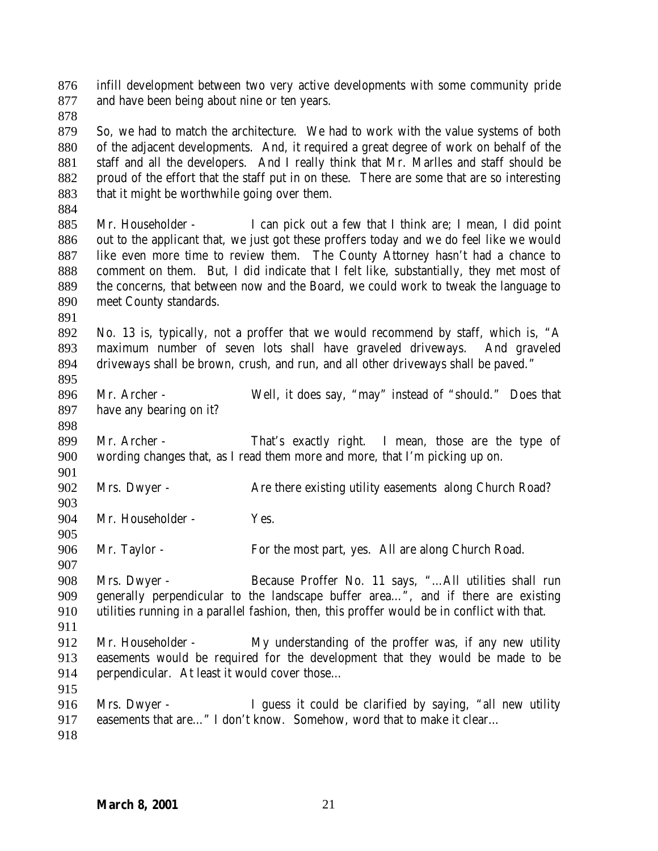infill development between two very active developments with some community pride and have been being about nine or ten years.

 So, we had to match the architecture. We had to work with the value systems of both of the adjacent developments. And, it required a great degree of work on behalf of the staff and all the developers. And I really think that Mr. Marlles and staff should be proud of the effort that the staff put in on these. There are some that are so interesting 883 that it might be worthwhile going over them.

 Mr. Householder - I can pick out a few that I think are; I mean, I did point out to the applicant that, we just got these proffers today and we do feel like we would like even more time to review them. The County Attorney hasn't had a chance to comment on them. But, I did indicate that I felt like, substantially, they met most of the concerns, that between now and the Board, we could work to tweak the language to meet County standards.

 No. 13 is, typically, not a proffer that we would recommend by staff, which is, "A maximum number of seven lots shall have graveled driveways. And graveled driveways shall be brown, crush, and run, and all other driveways shall be paved."

 Mr. Archer - Well, it does say, "may" instead of "should." Does that have any bearing on it?

 Mr. Archer - That's exactly right. I mean, those are the type of wording changes that, as I read them more and more, that I'm picking up on.

902 Mrs. Dwyer - Are there existing utility easements along Church Road? 

Mr. Householder - Yes.

Mr. Taylor - For the most part, yes. All are along Church Road.

 Mrs. Dwyer - Because Proffer No. 11 says, "…All utilities shall run generally perpendicular to the landscape buffer area…", and if there are existing utilities running in a parallel fashion, then, this proffer would be in conflict with that.

 Mr. Householder - My understanding of the proffer was, if any new utility easements would be required for the development that they would be made to be perpendicular. At least it would cover those…

 Mrs. Dwyer - I guess it could be clarified by saying, "all new utility 917 easements that are..." I don't know. Somehow, word that to make it clear...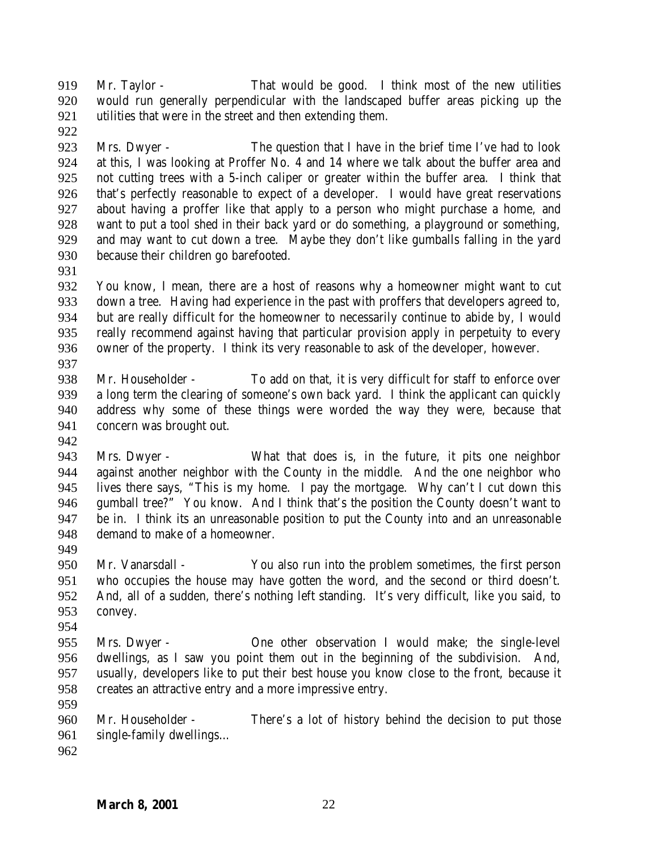Mr. Taylor - That would be good. I think most of the new utilities would run generally perpendicular with the landscaped buffer areas picking up the utilities that were in the street and then extending them.

 Mrs. Dwyer - The question that I have in the brief time I've had to look at this, I was looking at Proffer No. 4 and 14 where we talk about the buffer area and not cutting trees with a 5-inch caliper or greater within the buffer area. I think that that's perfectly reasonable to expect of a developer. I would have great reservations about having a proffer like that apply to a person who might purchase a home, and want to put a tool shed in their back yard or do something, a playground or something, and may want to cut down a tree. Maybe they don't like gumballs falling in the yard because their children go barefooted.

 You know, I mean, there are a host of reasons why a homeowner might want to cut down a tree. Having had experience in the past with proffers that developers agreed to, but are really difficult for the homeowner to necessarily continue to abide by, I would really recommend against having that particular provision apply in perpetuity to every owner of the property. I think its very reasonable to ask of the developer, however.

 Mr. Householder - To add on that, it is very difficult for staff to enforce over a long term the clearing of someone's own back yard. I think the applicant can quickly address why some of these things were worded the way they were, because that concern was brought out.

 Mrs. Dwyer - What that does is, in the future, it pits one neighbor against another neighbor with the County in the middle. And the one neighbor who lives there says, "This is my home. I pay the mortgage. Why can't I cut down this gumball tree?" You know. And I think that's the position the County doesn't want to be in. I think its an unreasonable position to put the County into and an unreasonable demand to make of a homeowner.

 Mr. Vanarsdall - You also run into the problem sometimes, the first person who occupies the house may have gotten the word, and the second or third doesn't. And, all of a sudden, there's nothing left standing. It's very difficult, like you said, to convey.

- 
- Mrs. Dwyer One other observation I would make; the single-level dwellings, as I saw you point them out in the beginning of the subdivision. And, usually, developers like to put their best house you know close to the front, because it creates an attractive entry and a more impressive entry.
- 

 Mr. Householder - There's a lot of history behind the decision to put those single-family dwellings…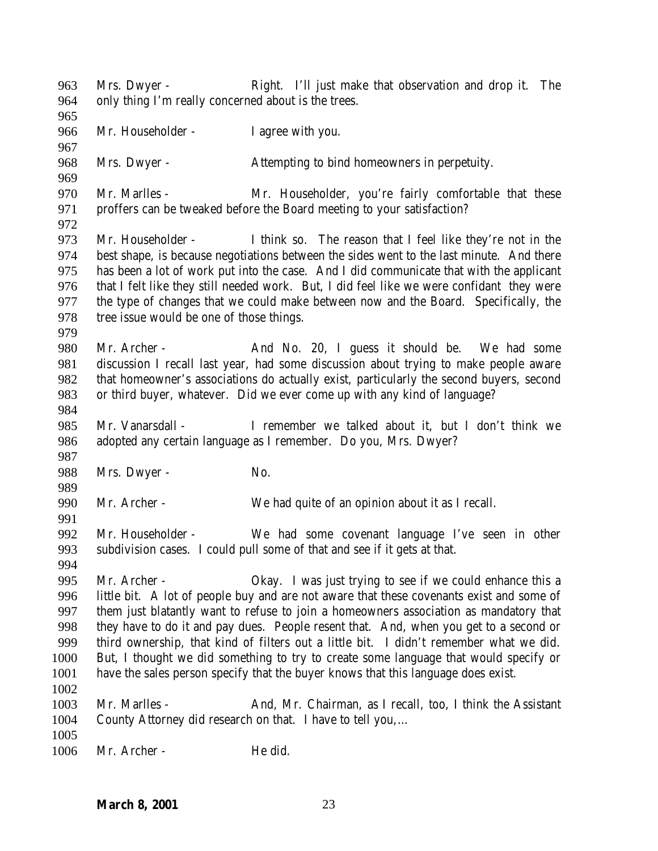Mrs. Dwyer - Right. I'll just make that observation and drop it. The only thing I'm really concerned about is the trees. Mr. Householder - I agree with you. Mrs. Dwyer - Attempting to bind homeowners in perpetuity. Mr. Marlles - Mr. Householder, you're fairly comfortable that these proffers can be tweaked before the Board meeting to your satisfaction? Mr. Householder - I think so. The reason that I feel like they're not in the best shape, is because negotiations between the sides went to the last minute. And there has been a lot of work put into the case. And I did communicate that with the applicant that I felt like they still needed work. But, I did feel like we were confidant they were the type of changes that we could make between now and the Board. Specifically, the tree issue would be one of those things. 980 Mr. Archer - And No. 20, I guess it should be. We had some discussion I recall last year, had some discussion about trying to make people aware that homeowner's associations do actually exist, particularly the second buyers, second or third buyer, whatever. Did we ever come up with any kind of language? Mr. Vanarsdall - I remember we talked about it, but I don't think we adopted any certain language as I remember. Do you, Mrs. Dwyer? 988 Mrs. Dwyer - No. Mr. Archer - We had quite of an opinion about it as I recall. Mr. Householder - We had some covenant language I've seen in other subdivision cases. I could pull some of that and see if it gets at that. Mr. Archer - Okay. I was just trying to see if we could enhance this a little bit. A lot of people buy and are not aware that these covenants exist and some of them just blatantly want to refuse to join a homeowners association as mandatory that they have to do it and pay dues. People resent that. And, when you get to a second or third ownership, that kind of filters out a little bit. I didn't remember what we did. But, I thought we did something to try to create some language that would specify or have the sales person specify that the buyer knows that this language does exist. Mr. Marlles - And, Mr. Chairman, as I recall, too, I think the Assistant County Attorney did research on that. I have to tell you,… 1006 Mr. Archer - He did.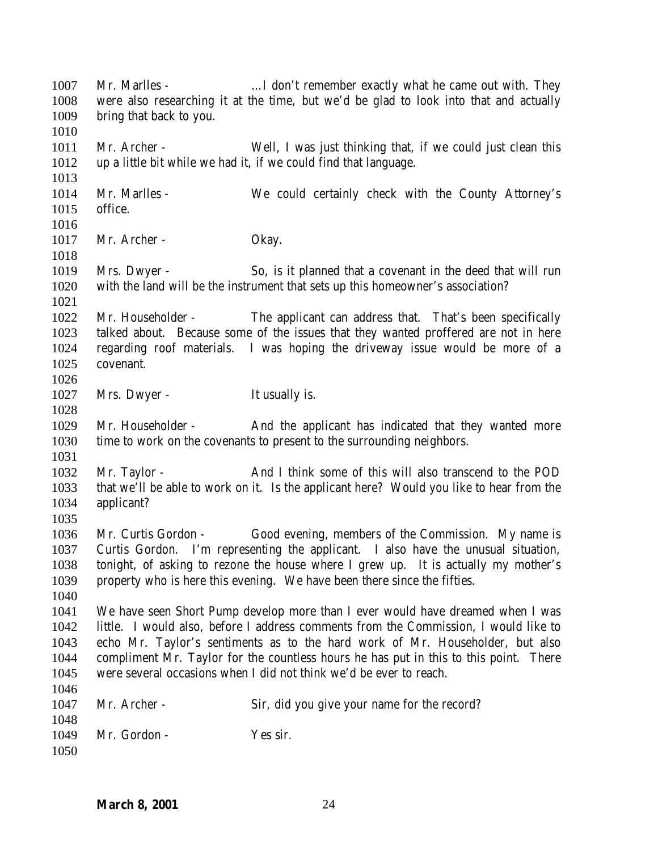1007 Mr. Marlles - .... I don't remember exactly what he came out with. They were also researching it at the time, but we'd be glad to look into that and actually bring that back to you. Mr. Archer - Well, I was just thinking that, if we could just clean this up a little bit while we had it, if we could find that language. Mr. Marlles - We could certainly check with the County Attorney's office. 1017 Mr. Archer - Okay. Mrs. Dwyer - So, is it planned that a covenant in the deed that will run with the land will be the instrument that sets up this homeowner's association? Mr. Householder - The applicant can address that. That's been specifically talked about. Because some of the issues that they wanted proffered are not in here regarding roof materials. I was hoping the driveway issue would be more of a covenant. 1027 Mrs. Dwyer - It usually is. Mr. Householder - And the applicant has indicated that they wanted more time to work on the covenants to present to the surrounding neighbors. Mr. Taylor - And I think some of this will also transcend to the POD that we'll be able to work on it. Is the applicant here? Would you like to hear from the applicant? Mr. Curtis Gordon - Good evening, members of the Commission. My name is Curtis Gordon. I'm representing the applicant. I also have the unusual situation, tonight, of asking to rezone the house where I grew up. It is actually my mother's property who is here this evening. We have been there since the fifties. We have seen Short Pump develop more than I ever would have dreamed when I was little. I would also, before I address comments from the Commission, I would like to echo Mr. Taylor's sentiments as to the hard work of Mr. Householder, but also compliment Mr. Taylor for the countless hours he has put in this to this point. There were several occasions when I did not think we'd be ever to reach. Mr. Archer - Sir, did you give your name for the record? Mr. Gordon - Yes sir.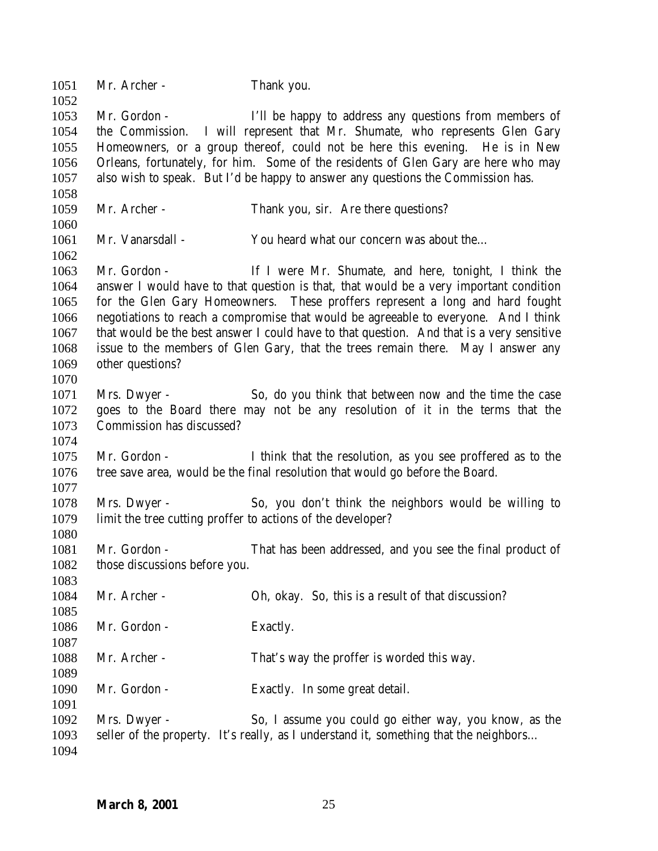| 1051<br>1052 | Mr. Archer -                                                | Thank you.                                                                                                                                                              |
|--------------|-------------------------------------------------------------|-------------------------------------------------------------------------------------------------------------------------------------------------------------------------|
| 1053<br>1054 | Mr. Gordon -                                                | I'll be happy to address any questions from members of<br>the Commission. I will represent that Mr. Shumate, who represents Glen Gary                                   |
| 1055         |                                                             | Homeowners, or a group thereof, could not be here this evening. He is in New                                                                                            |
| 1056         |                                                             | Orleans, fortunately, for him. Some of the residents of Glen Gary are here who may                                                                                      |
| 1057         |                                                             | also wish to speak. But I'd be happy to answer any questions the Commission has.                                                                                        |
|              |                                                             |                                                                                                                                                                         |
| 1058         | Mr. Archer -                                                |                                                                                                                                                                         |
| 1059<br>1060 |                                                             | Thank you, sir. Are there questions?                                                                                                                                    |
|              |                                                             |                                                                                                                                                                         |
| 1061         | Mr. Vanarsdall -                                            | You heard what our concern was about the                                                                                                                                |
| 1062         |                                                             |                                                                                                                                                                         |
| 1063         | Mr. Gordon -                                                | If I were Mr. Shumate, and here, tonight, I think the                                                                                                                   |
| 1064<br>1065 |                                                             | answer I would have to that question is that, that would be a very important condition<br>for the Glen Gary Homeowners. These proffers represent a long and hard fought |
| 1066         |                                                             | negotiations to reach a compromise that would be agreeable to everyone. And I think                                                                                     |
| 1067         |                                                             | that would be the best answer I could have to that question. And that is a very sensitive                                                                               |
| 1068         |                                                             | issue to the members of Glen Gary, that the trees remain there. May I answer any                                                                                        |
| 1069         | other questions?                                            |                                                                                                                                                                         |
| 1070         |                                                             |                                                                                                                                                                         |
| 1071         | Mrs. Dwyer -                                                | So, do you think that between now and the time the case                                                                                                                 |
| 1072         |                                                             | goes to the Board there may not be any resolution of it in the terms that the                                                                                           |
| 1073         | Commission has discussed?                                   |                                                                                                                                                                         |
| 1074         |                                                             |                                                                                                                                                                         |
| 1075         | Mr. Gordon -                                                | I think that the resolution, as you see proffered as to the                                                                                                             |
| 1076         |                                                             | tree save area, would be the final resolution that would go before the Board.                                                                                           |
| 1077         |                                                             |                                                                                                                                                                         |
| 1078         | Mrs. Dwyer -                                                | So, you don't think the neighbors would be willing to                                                                                                                   |
| 1079         | limit the tree cutting proffer to actions of the developer? |                                                                                                                                                                         |
| 1080         |                                                             |                                                                                                                                                                         |
| 1081         | Mr. Gordon -                                                | That has been addressed, and you see the final product of                                                                                                               |
| 1082         | those discussions before you.                               |                                                                                                                                                                         |
| 1083         |                                                             |                                                                                                                                                                         |
| 1084         | Mr. Archer -                                                | Oh, okay. So, this is a result of that discussion?                                                                                                                      |
| 1085         |                                                             |                                                                                                                                                                         |
| 1086         | Mr. Gordon -                                                | Exactly.                                                                                                                                                                |
| 1087         |                                                             |                                                                                                                                                                         |
| 1088         | Mr. Archer -                                                | That's way the proffer is worded this way.                                                                                                                              |
| 1089         |                                                             |                                                                                                                                                                         |
| 1090         | Mr. Gordon -                                                | Exactly. In some great detail.                                                                                                                                          |
| 1091         |                                                             |                                                                                                                                                                         |
| 1092         | Mrs. Dwyer -                                                | So, I assume you could go either way, you know, as the                                                                                                                  |
| 1093         |                                                             | seller of the property. It's really, as I understand it, something that the neighbors                                                                                   |
| 1094         |                                                             |                                                                                                                                                                         |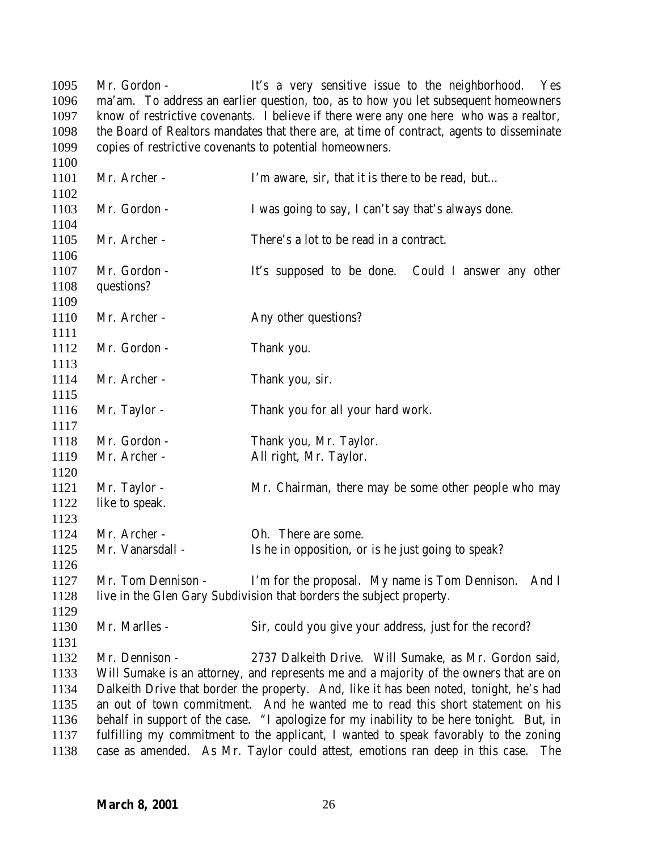1095 Mr. Gordon - It's a very sensitive issue to the neighborhood. Yes ma'am. To address an earlier question, too, as to how you let subsequent homeowners know of restrictive covenants. I believe if there were any one here who was a realtor, the Board of Realtors mandates that there are, at time of contract, agents to disseminate copies of restrictive covenants to potential homeowners.

| 1101         | Mr. Archer -                   | I'm aware, sir, that it is there to be read, but                                         |
|--------------|--------------------------------|------------------------------------------------------------------------------------------|
| 1102<br>1103 | Mr. Gordon -                   | I was going to say, I can't say that's always done.                                      |
| 1104         |                                |                                                                                          |
| 1105         | Mr. Archer -                   | There's a lot to be read in a contract.                                                  |
| 1106         |                                |                                                                                          |
| 1107         | Mr. Gordon -                   | It's supposed to be done. Could I answer any other                                       |
| 1108         | questions?                     |                                                                                          |
| 1109         |                                |                                                                                          |
| 1110         | Mr. Archer -                   | Any other questions?                                                                     |
| 1111         |                                |                                                                                          |
| 1112         | Mr. Gordon -                   | Thank you.                                                                               |
| 1113         |                                |                                                                                          |
| 1114         | Mr. Archer -                   | Thank you, sir.                                                                          |
| 1115         |                                |                                                                                          |
| 1116         | Mr. Taylor -                   | Thank you for all your hard work.                                                        |
| 1117         |                                |                                                                                          |
| 1118         | Mr. Gordon -                   | Thank you, Mr. Taylor.                                                                   |
| 1119         | Mr. Archer -                   | All right, Mr. Taylor.                                                                   |
| 1120<br>1121 |                                |                                                                                          |
| 1122         | Mr. Taylor -<br>like to speak. | Mr. Chairman, there may be some other people who may                                     |
| 1123         |                                |                                                                                          |
| 1124         | Mr. Archer -                   | Oh. There are some.                                                                      |
| 1125         | Mr. Vanarsdall -               | Is he in opposition, or is he just going to speak?                                       |
| 1126         |                                |                                                                                          |
| 1127         | Mr. Tom Dennison -             | I'm for the proposal. My name is Tom Dennison.<br>And I                                  |
| 1128         |                                | live in the Glen Gary Subdivision that borders the subject property.                     |
| 1129         |                                |                                                                                          |
| 1130         | Mr. Marlles -                  | Sir, could you give your address, just for the record?                                   |
| 1131         |                                |                                                                                          |
| 1132         | Mr. Dennison -                 | 2737 Dalkeith Drive. Will Sumake, as Mr. Gordon said,                                    |
| 1133         |                                | Will Sumake is an attorney, and represents me and a majority of the owners that are on   |
| 1134         |                                | Dalkeith Drive that border the property. And, like it has been noted, tonight, he's had  |
| 1135         |                                | an out of town commitment. And he wanted me to read this short statement on his          |
| 1136         |                                | behalf in support of the case. "I apologize for my inability to be here tonight. But, in |
| 1137         |                                | fulfilling my commitment to the applicant, I wanted to speak favorably to the zoning     |
| 1138         |                                | case as amended. As Mr. Taylor could attest, emotions ran deep in this case.<br>The      |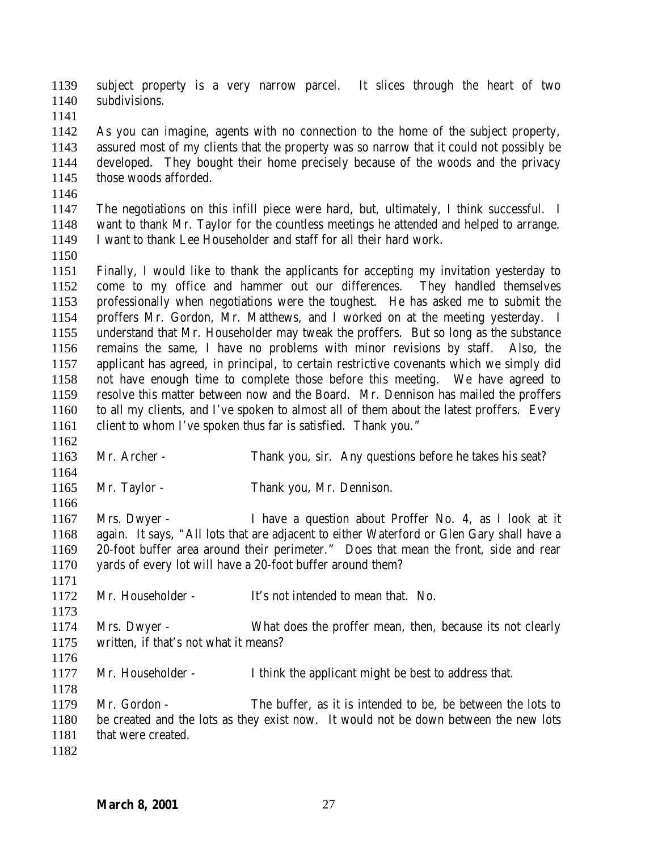subject property is a very narrow parcel. It slices through the heart of two subdivisions.

 As you can imagine, agents with no connection to the home of the subject property, assured most of my clients that the property was so narrow that it could not possibly be developed. They bought their home precisely because of the woods and the privacy those woods afforded.

 The negotiations on this infill piece were hard, but, ultimately, I think successful. I want to thank Mr. Taylor for the countless meetings he attended and helped to arrange. I want to thank Lee Householder and staff for all their hard work.

 Finally, I would like to thank the applicants for accepting my invitation yesterday to come to my office and hammer out our differences. They handled themselves professionally when negotiations were the toughest. He has asked me to submit the proffers Mr. Gordon, Mr. Matthews, and I worked on at the meeting yesterday. I understand that Mr. Householder may tweak the proffers. But so long as the substance remains the same, I have no problems with minor revisions by staff. Also, the applicant has agreed, in principal, to certain restrictive covenants which we simply did not have enough time to complete those before this meeting. We have agreed to resolve this matter between now and the Board. Mr. Dennison has mailed the proffers to all my clients, and I've spoken to almost all of them about the latest proffers. Every client to whom I've spoken thus far is satisfied. Thank you."

- Mr. Archer Thank you, sir. Any questions before he takes his seat?
- 1165 Mr. Taylor Thank you, Mr. Dennison.

 Mrs. Dwyer - I have a question about Proffer No. 4, as I look at it again. It says, "All lots that are adjacent to either Waterford or Glen Gary shall have a 20-foot buffer area around their perimeter." Does that mean the front, side and rear yards of every lot will have a 20-foot buffer around them?

- Mr. Householder It's not intended to mean that. No.
- Mrs. Dwyer What does the proffer mean, then, because its not clearly written, if that's not what it means?
- 

Mr. Householder - I think the applicant might be best to address that.

 Mr. Gordon - The buffer, as it is intended to be, be between the lots to be created and the lots as they exist now. It would not be down between the new lots 1181 that were created.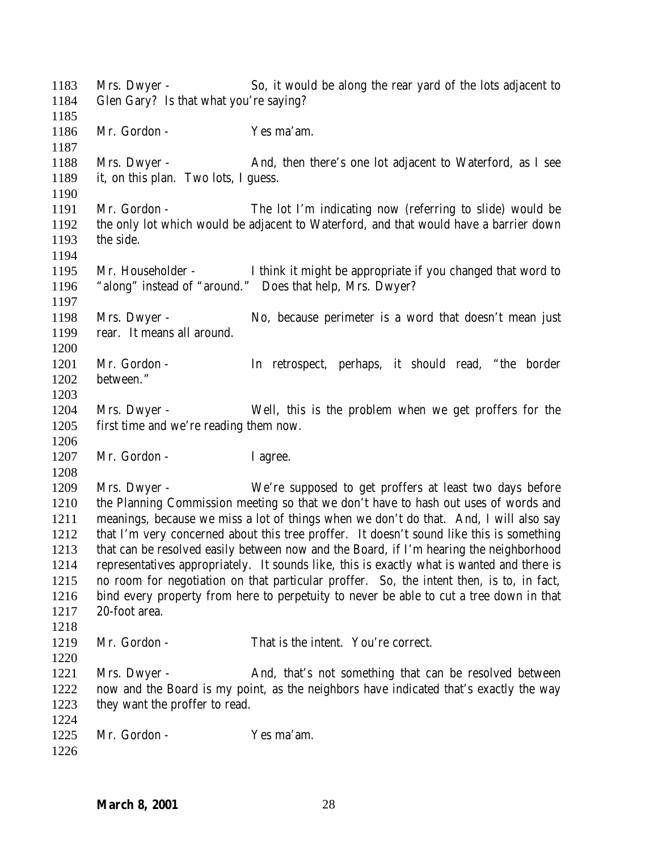Mrs. Dwyer - So, it would be along the rear yard of the lots adjacent to Glen Gary? Is that what you're saying? Mr. Gordon - Yes ma'am. 1188 Mrs. Dwyer - And, then there's one lot adjacent to Waterford, as I see it, on this plan. Two lots, I guess. Mr. Gordon - The lot I'm indicating now (referring to slide) would be the only lot which would be adjacent to Waterford, and that would have a barrier down the side. Mr. Householder - I think it might be appropriate if you changed that word to "along" instead of "around." Does that help, Mrs. Dwyer? Mrs. Dwyer - No, because perimeter is a word that doesn't mean just rear. It means all around. Mr. Gordon - In retrospect, perhaps, it should read, "the border between." Mrs. Dwyer - Well, this is the problem when we get proffers for the first time and we're reading them now. 1207 Mr. Gordon - I agree. Mrs. Dwyer - We're supposed to get proffers at least two days before the Planning Commission meeting so that we don't have to hash out uses of words and meanings, because we miss a lot of things when we don't do that. And, I will also say that I'm very concerned about this tree proffer. It doesn't sound like this is something that can be resolved easily between now and the Board, if I'm hearing the neighborhood representatives appropriately. It sounds like, this is exactly what is wanted and there is no room for negotiation on that particular proffer. So, the intent then, is to, in fact, bind every property from here to perpetuity to never be able to cut a tree down in that 20-foot area. Mr. Gordon - That is the intent. You're correct. 1221 Mrs. Dwyer - And, that's not something that can be resolved between now and the Board is my point, as the neighbors have indicated that's exactly the way they want the proffer to read. Mr. Gordon - Yes ma'am.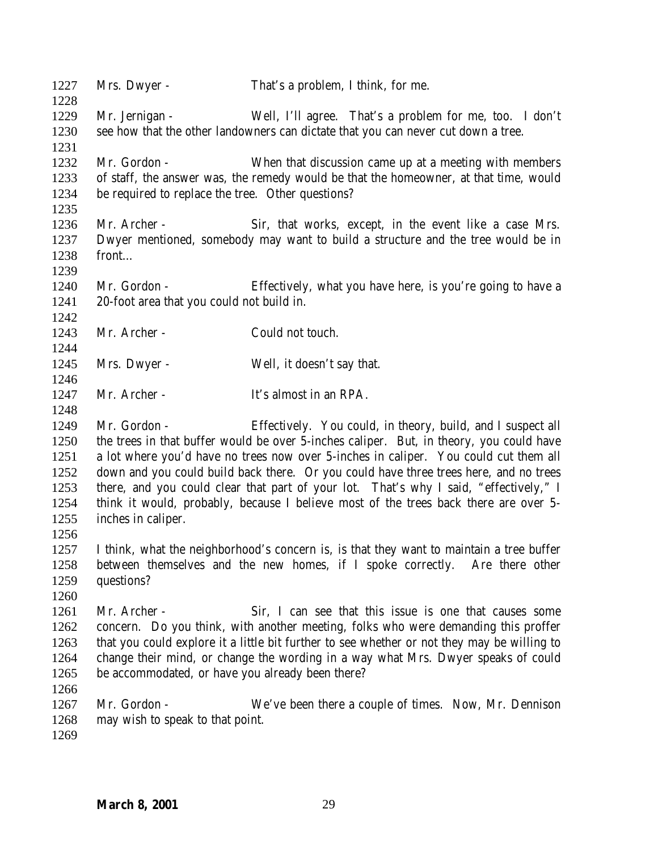| 1227<br>1228                                                 | Mrs. Dwyer -                                                      | That's a problem, I think, for me.                                                                                                                                                                                                                                                                                                                                                                                                                                                                                       |
|--------------------------------------------------------------|-------------------------------------------------------------------|--------------------------------------------------------------------------------------------------------------------------------------------------------------------------------------------------------------------------------------------------------------------------------------------------------------------------------------------------------------------------------------------------------------------------------------------------------------------------------------------------------------------------|
| 1229<br>1230                                                 | Mr. Jernigan -                                                    | Well, I'll agree. That's a problem for me, too. I don't<br>see how that the other landowners can dictate that you can never cut down a tree.                                                                                                                                                                                                                                                                                                                                                                             |
| 1231<br>1232<br>1233<br>1234                                 | Mr. Gordon -<br>be required to replace the tree. Other questions? | When that discussion came up at a meeting with members<br>of staff, the answer was, the remedy would be that the homeowner, at that time, would                                                                                                                                                                                                                                                                                                                                                                          |
| 1235<br>1236<br>1237<br>1238<br>1239                         | Mr. Archer -<br>front                                             | Sir, that works, except, in the event like a case Mrs.<br>Dwyer mentioned, somebody may want to build a structure and the tree would be in                                                                                                                                                                                                                                                                                                                                                                               |
| 1240<br>1241<br>1242                                         | Mr. Gordon -<br>20-foot area that you could not build in.         | Effectively, what you have here, is you're going to have a                                                                                                                                                                                                                                                                                                                                                                                                                                                               |
| 1243<br>1244                                                 | Mr. Archer -                                                      | Could not touch.                                                                                                                                                                                                                                                                                                                                                                                                                                                                                                         |
| 1245<br>1246                                                 | Mrs. Dwyer -                                                      | Well, it doesn't say that.                                                                                                                                                                                                                                                                                                                                                                                                                                                                                               |
| 1247<br>1248                                                 | Mr. Archer -                                                      | It's almost in an RPA.                                                                                                                                                                                                                                                                                                                                                                                                                                                                                                   |
| 1249<br>1250<br>1251<br>1252<br>1253<br>1254<br>1255<br>1256 | Mr. Gordon -<br>inches in caliper.                                | Effectively. You could, in theory, build, and I suspect all<br>the trees in that buffer would be over 5-inches caliper. But, in theory, you could have<br>a lot where you'd have no trees now over 5-inches in caliper. You could cut them all<br>down and you could build back there. Or you could have three trees here, and no trees<br>there, and you could clear that part of your lot. That's why I said, "effectively," I<br>think it would, probably, because I believe most of the trees back there are over 5- |
| 1257<br>1258<br>1259<br>1260                                 | questions?                                                        | I think, what the neighborhood's concern is, is that they want to maintain a tree buffer<br>between themselves and the new homes, if I spoke correctly. Are there other                                                                                                                                                                                                                                                                                                                                                  |
| 1261<br>1262<br>1263<br>1264<br>1265                         | Mr. Archer -<br>be accommodated, or have you already been there?  | Sir, I can see that this issue is one that causes some<br>concern. Do you think, with another meeting, folks who were demanding this proffer<br>that you could explore it a little bit further to see whether or not they may be willing to<br>change their mind, or change the wording in a way what Mrs. Dwyer speaks of could                                                                                                                                                                                         |
| 1266<br>1267<br>1268<br>1269                                 | Mr. Gordon -<br>may wish to speak to that point.                  | We've been there a couple of times. Now, Mr. Dennison                                                                                                                                                                                                                                                                                                                                                                                                                                                                    |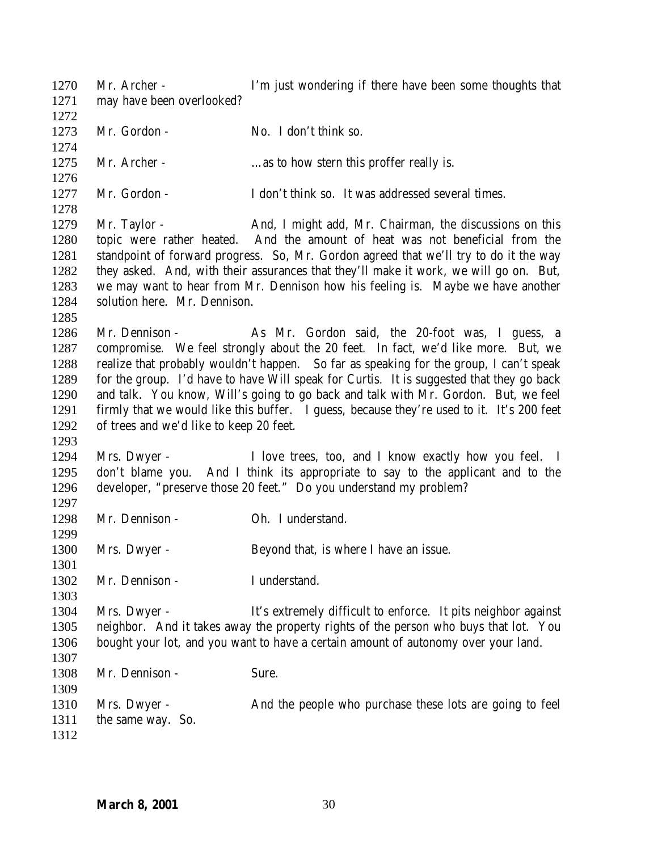Mr. Archer - I'm just wondering if there have been some thoughts that may have been overlooked? 1273 Mr. Gordon - No. I don't think so. 1275 Mr. Archer - …as to how stern this proffer really is. Mr. Gordon - I don't think so. It was addressed several times. 1279 Mr. Taylor - And, I might add, Mr. Chairman, the discussions on this topic were rather heated. And the amount of heat was not beneficial from the standpoint of forward progress. So, Mr. Gordon agreed that we'll try to do it the way they asked. And, with their assurances that they'll make it work, we will go on. But, we may want to hear from Mr. Dennison how his feeling is. Maybe we have another solution here. Mr. Dennison. Mr. Dennison - As Mr. Gordon said, the 20-foot was, I guess, a compromise. We feel strongly about the 20 feet. In fact, we'd like more. But, we realize that probably wouldn't happen. So far as speaking for the group, I can't speak for the group. I'd have to have Will speak for Curtis. It is suggested that they go back and talk. You know, Will's going to go back and talk with Mr. Gordon. But, we feel firmly that we would like this buffer. I guess, because they're used to it. It's 200 feet of trees and we'd like to keep 20 feet. Mrs. Dwyer - I love trees, too, and I know exactly how you feel. I don't blame you. And I think its appropriate to say to the applicant and to the developer, "preserve those 20 feet." Do you understand my problem? 1298 Mr. Dennison - Oh. I understand. Mrs. Dwyer - Beyond that, is where I have an issue. Mr. Dennison - I understand. Mrs. Dwyer - It's extremely difficult to enforce. It pits neighbor against neighbor. And it takes away the property rights of the person who buys that lot. You bought your lot, and you want to have a certain amount of autonomy over your land. 1308 Mr. Dennison - Sure. Mrs. Dwyer - And the people who purchase these lots are going to feel the same way. So.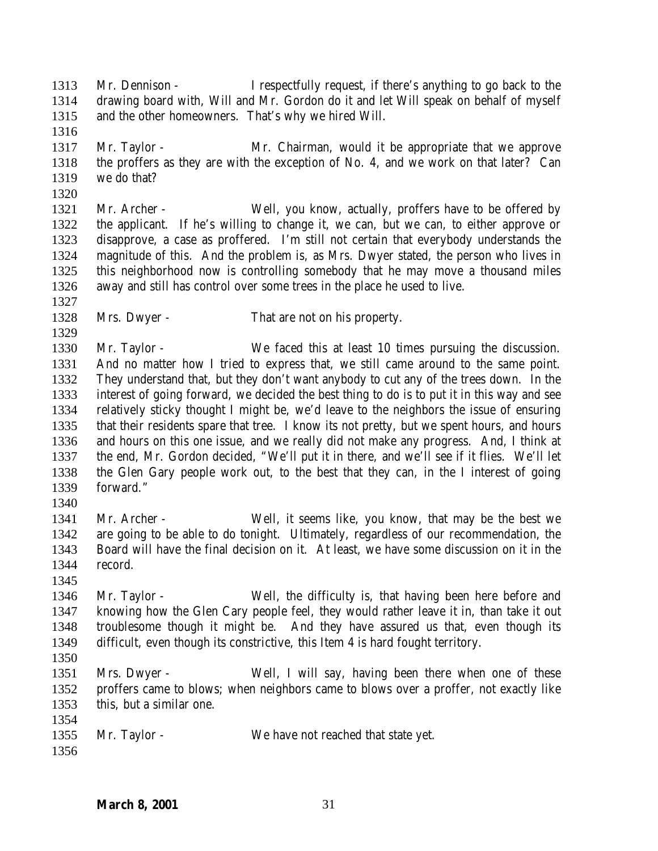Mr. Dennison - I respectfully request, if there's anything to go back to the drawing board with, Will and Mr. Gordon do it and let Will speak on behalf of myself and the other homeowners. That's why we hired Will.

 Mr. Taylor - Mr. Chairman, would it be appropriate that we approve the proffers as they are with the exception of No. 4, and we work on that later? Can we do that?

 Mr. Archer - Well, you know, actually, proffers have to be offered by the applicant. If he's willing to change it, we can, but we can, to either approve or disapprove, a case as proffered. I'm still not certain that everybody understands the magnitude of this. And the problem is, as Mrs. Dwyer stated, the person who lives in this neighborhood now is controlling somebody that he may move a thousand miles away and still has control over some trees in the place he used to live.

Mrs. Dwyer - That are not on his property.

 Mr. Taylor - We faced this at least 10 times pursuing the discussion. And no matter how I tried to express that, we still came around to the same point. They understand that, but they don't want anybody to cut any of the trees down. In the interest of going forward, we decided the best thing to do is to put it in this way and see relatively sticky thought I might be, we'd leave to the neighbors the issue of ensuring that their residents spare that tree. I know its not pretty, but we spent hours, and hours and hours on this one issue, and we really did not make any progress. And, I think at the end, Mr. Gordon decided, "We'll put it in there, and we'll see if it flies. We'll let the Glen Gary people work out, to the best that they can, in the I interest of going forward."

- 
- Mr. Archer Well, it seems like, you know, that may be the best we are going to be able to do tonight. Ultimately, regardless of our recommendation, the Board will have the final decision on it. At least, we have some discussion on it in the record.
- Mr. Taylor Well, the difficulty is, that having been here before and knowing how the Glen Cary people feel, they would rather leave it in, than take it out troublesome though it might be. And they have assured us that, even though its difficult, even though its constrictive, this Item 4 is hard fought territory.
- 
- Mrs. Dwyer Well, I will say, having been there when one of these proffers came to blows; when neighbors came to blows over a proffer, not exactly like this, but a similar one.
- Mr. Taylor We have not reached that state yet.
-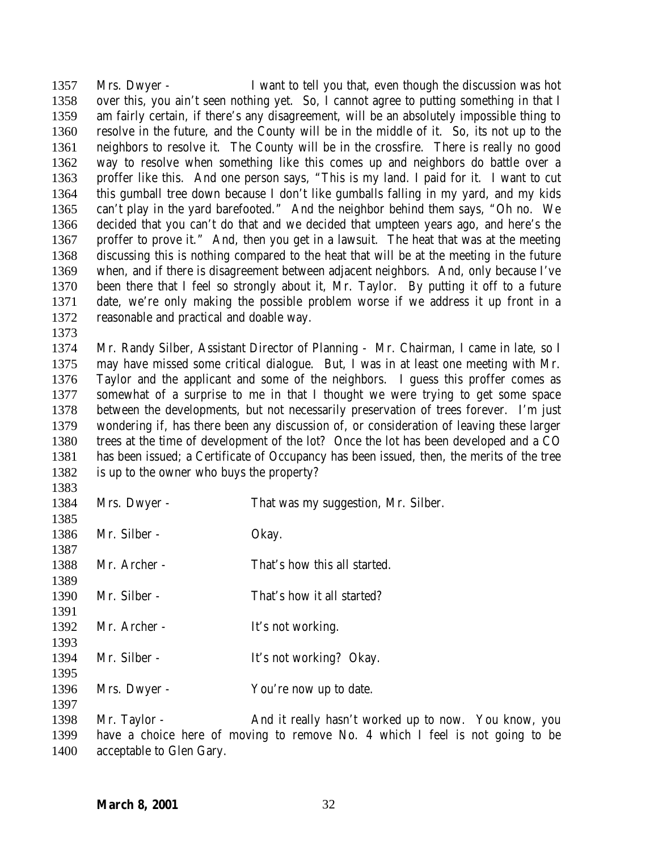Mrs. Dwyer - I want to tell you that, even though the discussion was hot over this, you ain't seen nothing yet. So, I cannot agree to putting something in that I am fairly certain, if there's any disagreement, will be an absolutely impossible thing to resolve in the future, and the County will be in the middle of it. So, its not up to the neighbors to resolve it. The County will be in the crossfire. There is really no good way to resolve when something like this comes up and neighbors do battle over a proffer like this. And one person says, "This is my land. I paid for it. I want to cut this gumball tree down because I don't like gumballs falling in my yard, and my kids can't play in the yard barefooted." And the neighbor behind them says, "Oh no. We decided that you can't do that and we decided that umpteen years ago, and here's the proffer to prove it." And, then you get in a lawsuit. The heat that was at the meeting discussing this is nothing compared to the heat that will be at the meeting in the future when, and if there is disagreement between adjacent neighbors. And, only because I've been there that I feel so strongly about it, Mr. Taylor. By putting it off to a future date, we're only making the possible problem worse if we address it up front in a reasonable and practical and doable way.

 Mr. Randy Silber, Assistant Director of Planning - Mr. Chairman, I came in late, so I may have missed some critical dialogue. But, I was in at least one meeting with Mr. Taylor and the applicant and some of the neighbors. I guess this proffer comes as somewhat of a surprise to me in that I thought we were trying to get some space between the developments, but not necessarily preservation of trees forever. I'm just wondering if, has there been any discussion of, or consideration of leaving these larger trees at the time of development of the lot? Once the lot has been developed and a CO has been issued; a Certificate of Occupancy has been issued, then, the merits of the tree is up to the owner who buys the property?

| 1384<br>1385 | Mrs. Dwyer - | That was my suggestion, Mr. Silber. |
|--------------|--------------|-------------------------------------|
| 1386<br>1387 | Mr. Silber - | Okay.                               |
| 1388<br>1389 | Mr. Archer - | That's how this all started.        |
| 1390<br>1391 | Mr. Silber - | That's how it all started?          |
| 1392<br>1393 | Mr. Archer - | It's not working.                   |
| 1394<br>1395 | Mr. Silber - | It's not working? Okay.             |
| 1396<br>1397 | Mrs. Dwyer - | You're now up to date.              |

1398 Mr. Taylor - And it really hasn't worked up to now. You know, you have a choice here of moving to remove No. 4 which I feel is not going to be acceptable to Glen Gary.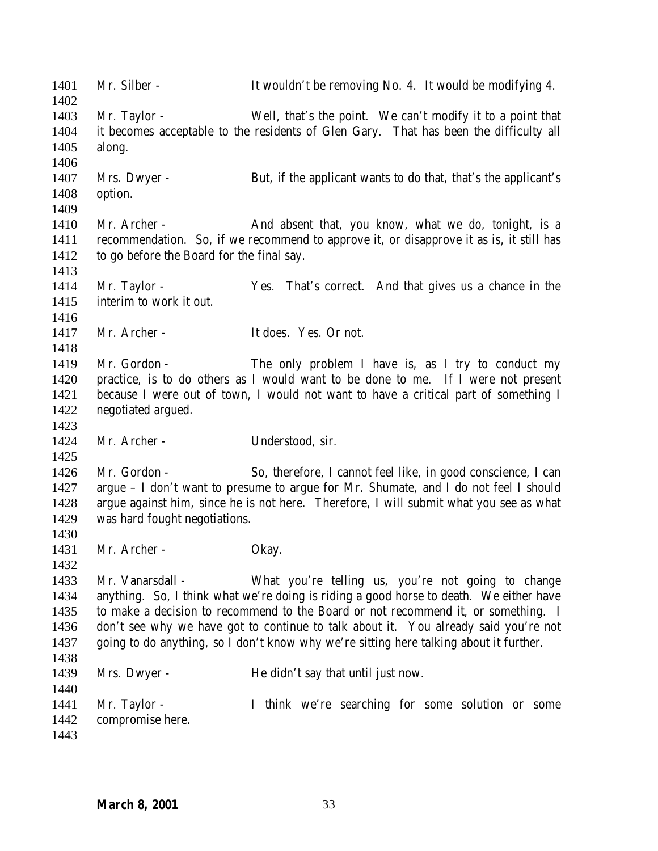| 1401<br>1402                                 | Mr. Silber -                                              | It wouldn't be removing No. 4. It would be modifying 4.                                                                                                                                                                                                                                                                                                                                                            |
|----------------------------------------------|-----------------------------------------------------------|--------------------------------------------------------------------------------------------------------------------------------------------------------------------------------------------------------------------------------------------------------------------------------------------------------------------------------------------------------------------------------------------------------------------|
| 1403<br>1404<br>1405                         | Mr. Taylor -<br>along.                                    | Well, that's the point. We can't modify it to a point that<br>it becomes acceptable to the residents of Glen Gary. That has been the difficulty all                                                                                                                                                                                                                                                                |
| 1406<br>1407<br>1408<br>1409                 | Mrs. Dwyer -<br>option.                                   | But, if the applicant wants to do that, that's the applicant's                                                                                                                                                                                                                                                                                                                                                     |
| 1410<br>1411<br>1412<br>1413                 | Mr. Archer -<br>to go before the Board for the final say. | And absent that, you know, what we do, tonight, is a<br>recommendation. So, if we recommend to approve it, or disapprove it as is, it still has                                                                                                                                                                                                                                                                    |
| 1414<br>1415<br>1416                         | Mr. Taylor -<br>interim to work it out.                   | Yes. That's correct. And that gives us a chance in the                                                                                                                                                                                                                                                                                                                                                             |
| 1417<br>1418                                 | Mr. Archer -                                              | It does. Yes. Or not.                                                                                                                                                                                                                                                                                                                                                                                              |
| 1419<br>1420<br>1421<br>1422<br>1423         | Mr. Gordon -<br>negotiated argued.                        | The only problem I have is, as I try to conduct my<br>practice, is to do others as I would want to be done to me. If I were not present<br>because I were out of town, I would not want to have a critical part of something I                                                                                                                                                                                     |
| 1424<br>1425                                 | Mr. Archer -                                              | Understood, sir.                                                                                                                                                                                                                                                                                                                                                                                                   |
| 1426<br>1427<br>1428<br>1429<br>1430         | Mr. Gordon -<br>was hard fought negotiations.             | So, therefore, I cannot feel like, in good conscience, I can<br>argue - I don't want to presume to argue for Mr. Shumate, and I do not feel I should<br>argue against him, since he is not here. Therefore, I will submit what you see as what                                                                                                                                                                     |
| 1431<br>1432                                 | Mr. Archer -                                              | Okay.                                                                                                                                                                                                                                                                                                                                                                                                              |
| 1433<br>1434<br>1435<br>1436<br>1437<br>1438 | Mr. Vanarsdall -                                          | What you're telling us, you're not going to change<br>anything. So, I think what we're doing is riding a good horse to death. We either have<br>to make a decision to recommend to the Board or not recommend it, or something. I<br>don't see why we have got to continue to talk about it. You already said you're not<br>going to do anything, so I don't know why we're sitting here talking about it further. |
| 1439<br>1440                                 | Mrs. Dwyer -                                              | He didn't say that until just now.                                                                                                                                                                                                                                                                                                                                                                                 |
| 1441<br>1442<br>1443                         | Mr. Taylor -<br>compromise here.                          | I think we're searching for some solution or some                                                                                                                                                                                                                                                                                                                                                                  |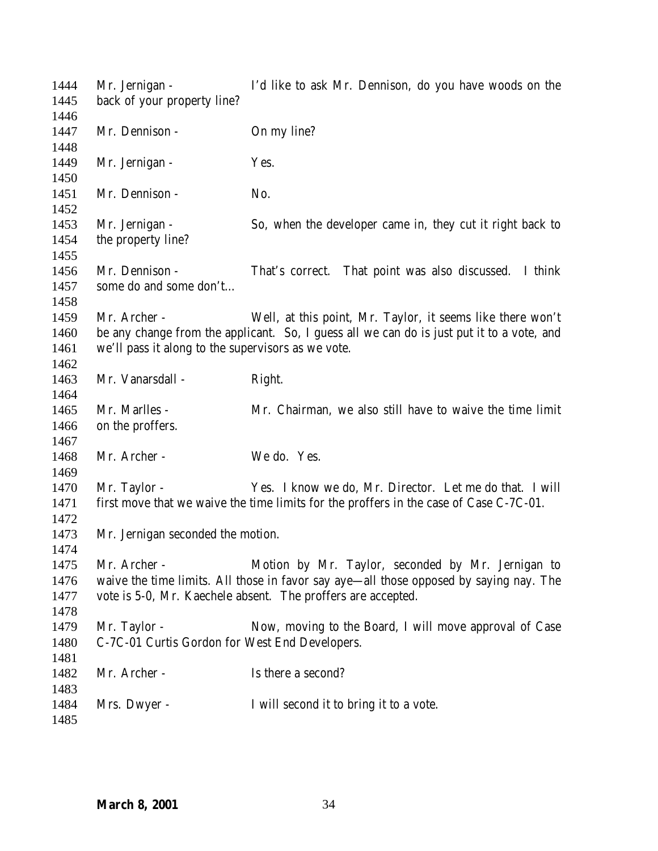| 1444<br>1445 | Mr. Jernigan -<br>back of your property line?      | I'd like to ask Mr. Dennison, do you have woods on the                                    |
|--------------|----------------------------------------------------|-------------------------------------------------------------------------------------------|
| 1446         |                                                    |                                                                                           |
| 1447         | Mr. Dennison -                                     | On my line?                                                                               |
| 1448         |                                                    |                                                                                           |
| 1449         | Mr. Jernigan -                                     | Yes.                                                                                      |
| 1450         |                                                    |                                                                                           |
| 1451         | Mr. Dennison -                                     | No.                                                                                       |
| 1452         |                                                    |                                                                                           |
| 1453         | Mr. Jernigan -                                     | So, when the developer came in, they cut it right back to                                 |
| 1454         | the property line?                                 |                                                                                           |
| 1455         |                                                    |                                                                                           |
| 1456         | Mr. Dennison -                                     | That's correct. That point was also discussed. I think                                    |
| 1457         | some do and some don't                             |                                                                                           |
| 1458         |                                                    |                                                                                           |
| 1459         | Mr. Archer -                                       | Well, at this point, Mr. Taylor, it seems like there won't                                |
| 1460         |                                                    | be any change from the applicant. So, I guess all we can do is just put it to a vote, and |
| 1461         | we'll pass it along to the supervisors as we vote. |                                                                                           |
| 1462         |                                                    |                                                                                           |
| 1463         | Mr. Vanarsdall -                                   | Right.                                                                                    |
| 1464         |                                                    |                                                                                           |
| 1465         | Mr. Marlles -                                      | Mr. Chairman, we also still have to waive the time limit                                  |
| 1466         | on the proffers.                                   |                                                                                           |
| 1467         |                                                    |                                                                                           |
| 1468         | Mr. Archer -                                       | We do. Yes.                                                                               |
| 1469         |                                                    |                                                                                           |
| 1470         | Mr. Taylor -                                       | Yes. I know we do, Mr. Director. Let me do that. I will                                   |
| 1471         |                                                    | first move that we waive the time limits for the proffers in the case of Case C-7C-01.    |
| 1472         |                                                    |                                                                                           |
| 1473         | Mr. Jernigan seconded the motion.                  |                                                                                           |
| 1474         |                                                    |                                                                                           |
| 1475         | Mr. Archer -                                       | Motion by Mr. Taylor, seconded by Mr. Jernigan to                                         |
| 1476         |                                                    | waive the time limits. All those in favor say aye-all those opposed by saying nay. The    |
| 1477         |                                                    | vote is 5-0, Mr. Kaechele absent. The proffers are accepted.                              |
| 1478         |                                                    |                                                                                           |
| 1479         | Mr. Taylor -                                       | Now, moving to the Board, I will move approval of Case                                    |
| 1480         | C-7C-01 Curtis Gordon for West End Developers.     |                                                                                           |
| 1481         |                                                    |                                                                                           |
| 1482         | Mr. Archer -                                       | Is there a second?                                                                        |
| 1483         |                                                    |                                                                                           |
| 1484         | Mrs. Dwyer -                                       | I will second it to bring it to a vote.                                                   |
| 1485         |                                                    |                                                                                           |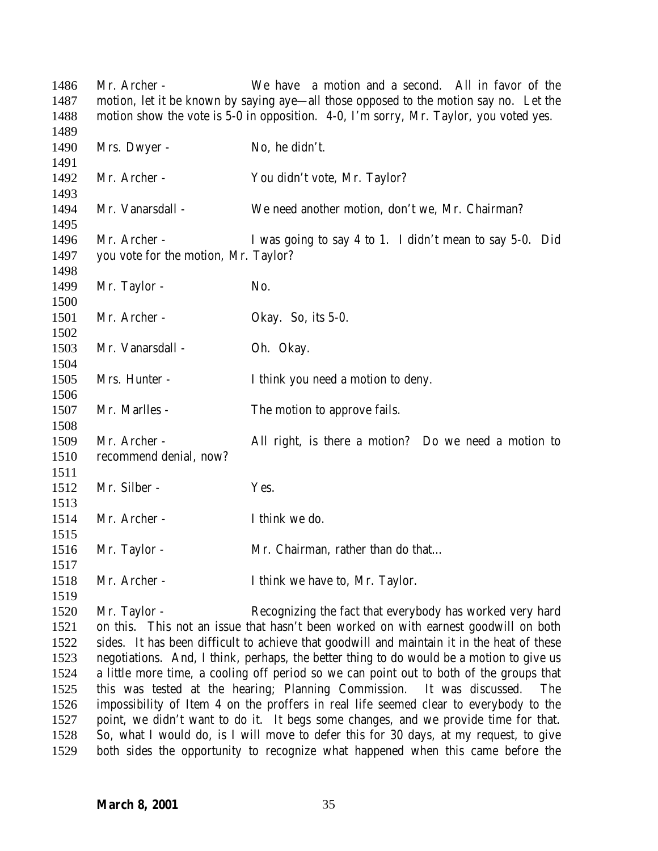Mr. Archer - We have a motion and a second. All in favor of the motion, let it be known by saying aye—all those opposed to the motion say no. Let the motion show the vote is 5-0 in opposition. 4-0, I'm sorry, Mr. Taylor, you voted yes. 1490 Mrs. Dwyer - No, he didn't. Mr. Archer - You didn't vote, Mr. Taylor? Mr. Vanarsdall - We need another motion, don't we, Mr. Chairman? Mr. Archer - I was going to say 4 to 1. I didn't mean to say 5-0. Did you vote for the motion, Mr. Taylor? 1499 Mr. Taylor - No. Mr. Archer - Okay. So, its 5-0. 1503 Mr. Vanarsdall - Oh. Okay. Mrs. Hunter - I think you need a motion to deny. 1507 Mr. Marlles - The motion to approve fails. Mr. Archer - All right, is there a motion? Do we need a motion to recommend denial, now? Mr. Silber - Yes. Mr. Archer - I think we do. 1516 Mr. Taylor - Mr. Chairman, rather than do that... Mr. Archer - I think we have to, Mr. Taylor. Mr. Taylor - Recognizing the fact that everybody has worked very hard on this. This not an issue that hasn't been worked on with earnest goodwill on both sides. It has been difficult to achieve that goodwill and maintain it in the heat of these negotiations. And, I think, perhaps, the better thing to do would be a motion to give us a little more time, a cooling off period so we can point out to both of the groups that this was tested at the hearing; Planning Commission. It was discussed. The impossibility of Item 4 on the proffers in real life seemed clear to everybody to the point, we didn't want to do it. It begs some changes, and we provide time for that. So, what I would do, is I will move to defer this for 30 days, at my request, to give both sides the opportunity to recognize what happened when this came before the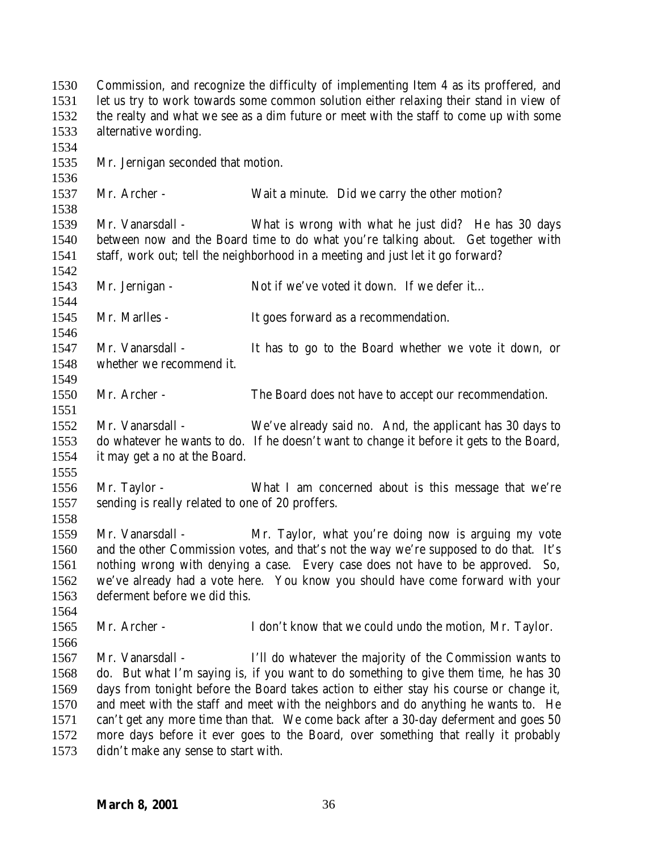| 1530 | Commission, and recognize the difficulty of implementing Item 4 as its proffered, and                                      |                                                                                          |  |
|------|----------------------------------------------------------------------------------------------------------------------------|------------------------------------------------------------------------------------------|--|
| 1531 | let us try to work towards some common solution either relaxing their stand in view of                                     |                                                                                          |  |
| 1532 | the realty and what we see as a dim future or meet with the staff to come up with some                                     |                                                                                          |  |
| 1533 | alternative wording.                                                                                                       |                                                                                          |  |
| 1534 |                                                                                                                            |                                                                                          |  |
| 1535 | Mr. Jernigan seconded that motion.                                                                                         |                                                                                          |  |
| 1536 |                                                                                                                            |                                                                                          |  |
| 1537 | Mr. Archer -                                                                                                               | Wait a minute. Did we carry the other motion?                                            |  |
| 1538 |                                                                                                                            |                                                                                          |  |
| 1539 | Mr. Vanarsdall -                                                                                                           | What is wrong with what he just did? He has 30 days                                      |  |
| 1540 | between now and the Board time to do what you're talking about. Get together with                                          |                                                                                          |  |
| 1541 | staff, work out; tell the neighborhood in a meeting and just let it go forward?                                            |                                                                                          |  |
| 1542 |                                                                                                                            |                                                                                          |  |
| 1543 | Mr. Jernigan -                                                                                                             | Not if we've voted it down. If we defer it                                               |  |
| 1544 |                                                                                                                            |                                                                                          |  |
| 1545 | Mr. Marlles -                                                                                                              | It goes forward as a recommendation.                                                     |  |
| 1546 |                                                                                                                            |                                                                                          |  |
| 1547 | Mr. Vanarsdall -                                                                                                           | It has to go to the Board whether we vote it down, or                                    |  |
| 1548 | whether we recommend it.                                                                                                   |                                                                                          |  |
| 1549 |                                                                                                                            |                                                                                          |  |
| 1550 | Mr. Archer -                                                                                                               | The Board does not have to accept our recommendation.                                    |  |
| 1551 |                                                                                                                            |                                                                                          |  |
| 1552 | Mr. Vanarsdall -                                                                                                           | We've already said no. And, the applicant has 30 days to                                 |  |
| 1553 |                                                                                                                            | do whatever he wants to do. If he doesn't want to change it before it gets to the Board, |  |
| 1554 | it may get a no at the Board.                                                                                              |                                                                                          |  |
| 1555 |                                                                                                                            |                                                                                          |  |
| 1556 | Mr. Taylor -                                                                                                               | What I am concerned about is this message that we're                                     |  |
| 1557 | sending is really related to one of 20 proffers.                                                                           |                                                                                          |  |
| 1558 |                                                                                                                            |                                                                                          |  |
| 1559 | Mr. Vanarsdall -                                                                                                           | Mr. Taylor, what you're doing now is arguing my vote                                     |  |
| 1560 |                                                                                                                            | and the other Commission votes, and that's not the way we're supposed to do that. It's   |  |
| 1561 | nothing wrong with denying a case. Every case does not have to be approved. So,                                            |                                                                                          |  |
| 1562 | we've already had a vote here. You know you should have come forward with your                                             |                                                                                          |  |
| 1563 | deferment before we did this.                                                                                              |                                                                                          |  |
| 1564 |                                                                                                                            |                                                                                          |  |
| 1565 | Mr. Archer -                                                                                                               | I don't know that we could undo the motion, Mr. Taylor.                                  |  |
| 1566 |                                                                                                                            |                                                                                          |  |
| 1567 | Mr. Vanarsdall -                                                                                                           | I'll do whatever the majority of the Commission wants to                                 |  |
| 1568 |                                                                                                                            |                                                                                          |  |
| 1569 | do. But what I'm saying is, if you want to do something to give them time, he has 30                                       |                                                                                          |  |
| 1570 | days from tonight before the Board takes action to either stay his course or change it,                                    |                                                                                          |  |
| 1571 | and meet with the staff and meet with the neighbors and do anything he wants to. He                                        |                                                                                          |  |
|      | can't get any more time than that. We come back after a 30-day deferment and goes 50                                       |                                                                                          |  |
| 1572 | more days before it ever goes to the Board, over something that really it probably<br>didn't make any sense to start with. |                                                                                          |  |
| 1573 |                                                                                                                            |                                                                                          |  |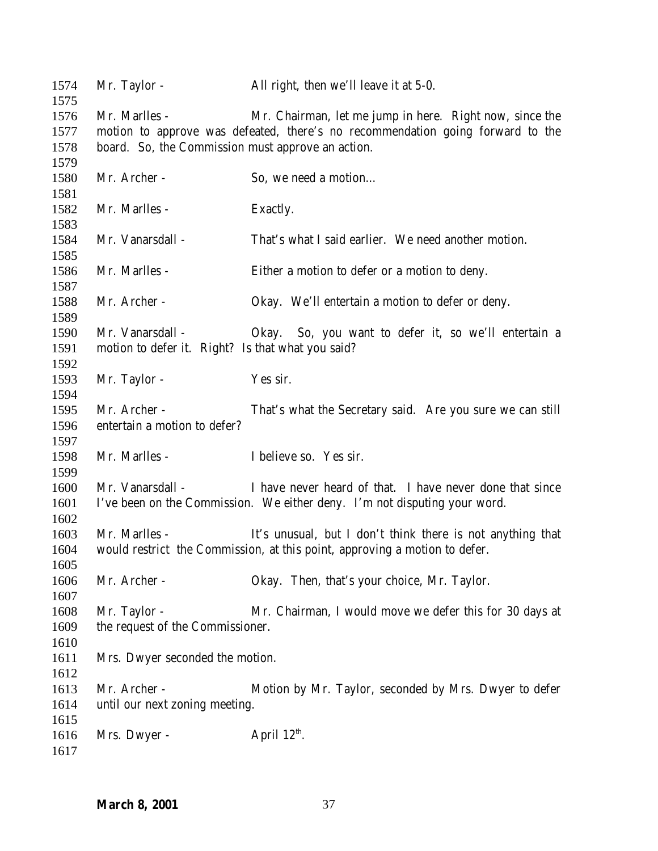| 1574<br>1575 | Mr. Taylor -                                                                   | All right, then we'll leave it at 5-0.                                     |  |
|--------------|--------------------------------------------------------------------------------|----------------------------------------------------------------------------|--|
| 1576         | Mr. Marlles -                                                                  | Mr. Chairman, let me jump in here. Right now, since the                    |  |
| 1577         | motion to approve was defeated, there's no recommendation going forward to the |                                                                            |  |
| 1578         | board. So, the Commission must approve an action.                              |                                                                            |  |
| 1579         |                                                                                |                                                                            |  |
| 1580         | Mr. Archer -                                                                   | So, we need a motion                                                       |  |
| 1581         |                                                                                |                                                                            |  |
| 1582         | Mr. Marlles -                                                                  | Exactly.                                                                   |  |
| 1583         |                                                                                |                                                                            |  |
| 1584         | Mr. Vanarsdall -                                                               | That's what I said earlier. We need another motion.                        |  |
| 1585         |                                                                                |                                                                            |  |
| 1586         | Mr. Marlles -                                                                  | Either a motion to defer or a motion to deny.                              |  |
| 1587         |                                                                                |                                                                            |  |
| 1588         | Mr. Archer -                                                                   | Okay. We'll entertain a motion to defer or deny.                           |  |
| 1589         |                                                                                |                                                                            |  |
| 1590         | Mr. Vanarsdall -                                                               | Okay. So, you want to defer it, so we'll entertain a                       |  |
| 1591         | motion to defer it. Right? Is that what you said?                              |                                                                            |  |
| 1592         |                                                                                |                                                                            |  |
| 1593         | Mr. Taylor -                                                                   | Yes sir.                                                                   |  |
| 1594         |                                                                                |                                                                            |  |
| 1595         | Mr. Archer -                                                                   | That's what the Secretary said. Are you sure we can still                  |  |
| 1596         | entertain a motion to defer?                                                   |                                                                            |  |
| 1597         |                                                                                |                                                                            |  |
| 1598         | Mr. Marlles -                                                                  | I believe so. Yes sir.                                                     |  |
| 1599         |                                                                                |                                                                            |  |
| 1600         | Mr. Vanarsdall -                                                               | I have never heard of that. I have never done that since                   |  |
| 1601         |                                                                                | I've been on the Commission. We either deny. I'm not disputing your word.  |  |
| 1602         |                                                                                |                                                                            |  |
| 1603         | Mr. Marlles -                                                                  | It's unusual, but I don't think there is not anything that                 |  |
| 1604         |                                                                                | would restrict the Commission, at this point, approving a motion to defer. |  |
| 1605         |                                                                                |                                                                            |  |
| 1606         | Mr. Archer -                                                                   | Okay. Then, that's your choice, Mr. Taylor.                                |  |
| 1607         |                                                                                |                                                                            |  |
| 1608         | Mr. Taylor -                                                                   | Mr. Chairman, I would move we defer this for 30 days at                    |  |
| 1609         | the request of the Commissioner.                                               |                                                                            |  |
| 1610         |                                                                                |                                                                            |  |
| 1611         | Mrs. Dwyer seconded the motion.                                                |                                                                            |  |
| 1612         |                                                                                |                                                                            |  |
| 1613         | Mr. Archer -                                                                   | Motion by Mr. Taylor, seconded by Mrs. Dwyer to defer                      |  |
| 1614         | until our next zoning meeting.                                                 |                                                                            |  |
| 1615         |                                                                                |                                                                            |  |
| 1616         | Mrs. Dwyer -                                                                   | April $12^{\text{th}}$ .                                                   |  |
| 1617         |                                                                                |                                                                            |  |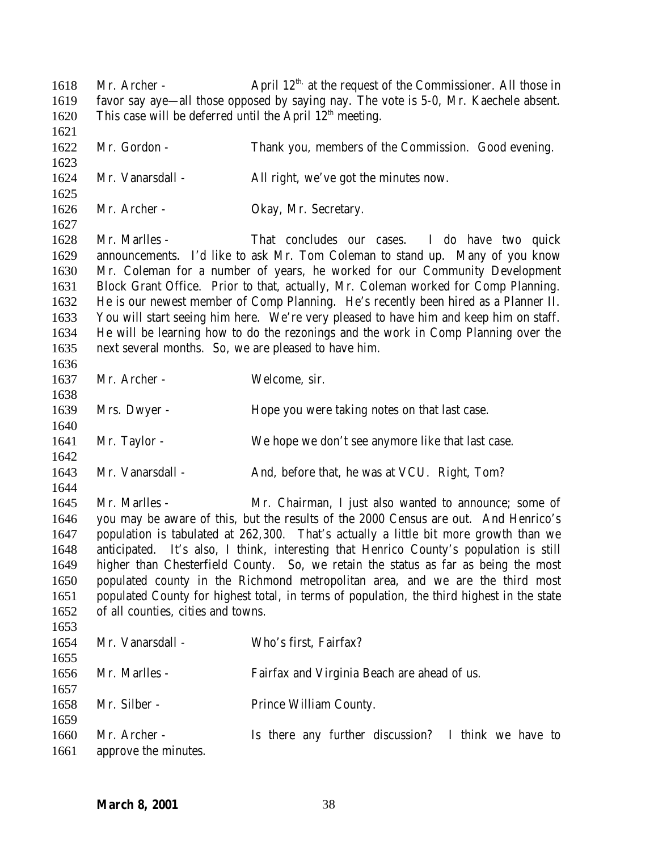1618 Mr. Archer - April  $12<sup>th</sup>$ , at the request of the Commissioner. All those in favor say aye—all those opposed by saying nay. The vote is 5-0, Mr. Kaechele absent. 1620 This case will be deferred until the April  $12<sup>th</sup>$  meeting. 1622 Mr. Gordon - Thank you, members of the Commission. Good evening. Mr. Vanarsdall - All right, we've got the minutes now. Mr. Archer - Okay, Mr. Secretary. Mr. Marlles - That concludes our cases. I do have two quick announcements. I'd like to ask Mr. Tom Coleman to stand up. Many of you know Mr. Coleman for a number of years, he worked for our Community Development Block Grant Office. Prior to that, actually, Mr. Coleman worked for Comp Planning. He is our newest member of Comp Planning. He's recently been hired as a Planner II. You will start seeing him here. We're very pleased to have him and keep him on staff. He will be learning how to do the rezonings and the work in Comp Planning over the next several months. So, we are pleased to have him. Mr. Archer - Welcome, sir. Mrs. Dwyer - Hope you were taking notes on that last case. Mr. Taylor - We hope we don't see anymore like that last case. 1643 Mr. Vanarsdall - And, before that, he was at VCU. Right, Tom? Mr. Marlles - Mr. Chairman, I just also wanted to announce; some of you may be aware of this, but the results of the 2000 Census are out. And Henrico's population is tabulated at 262,300. That's actually a little bit more growth than we anticipated. It's also, I think, interesting that Henrico County's population is still higher than Chesterfield County. So, we retain the status as far as being the most populated county in the Richmond metropolitan area, and we are the third most populated County for highest total, in terms of population, the third highest in the state of all counties, cities and towns. Mr. Vanarsdall - Who's first, Fairfax? Mr. Marlles - Fairfax and Virginia Beach are ahead of us. 1658 Mr. Silber - Prince William County. Mr. Archer - Is there any further discussion? I think we have to approve the minutes.